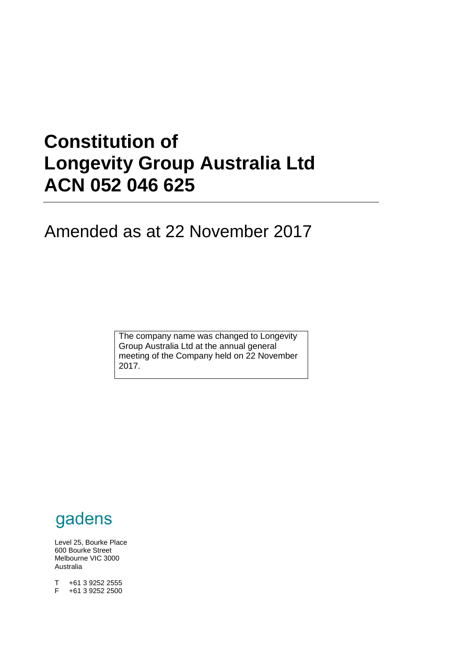# **Constitution of Longevity Group Australia Ltd ACN 052 046 625**

# Amended as at 22 November 2017

The company name was changed to Longevity Group Australia Ltd at the annual general meeting of the Company held on 22 November 2017.



Level 25, Bourke Place 600 Bourke Street Melbourne VIC 3000 Australia

 $T +61392522555$ <br>F  $+61392522500$ +61 3 9252 2500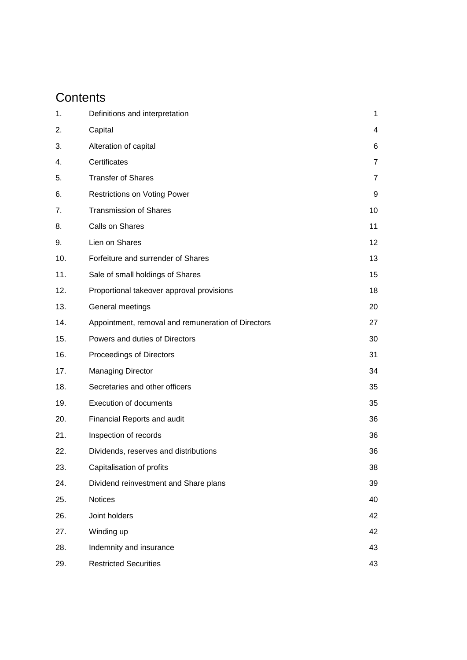# **Contents**

| 1.  | Definitions and interpretation                     | 1              |
|-----|----------------------------------------------------|----------------|
| 2.  | Capital                                            | 4              |
| 3.  | Alteration of capital                              | 6              |
| 4.  | Certificates                                       | 7              |
| 5.  | <b>Transfer of Shares</b>                          | $\overline{7}$ |
| 6.  | <b>Restrictions on Voting Power</b>                | 9              |
| 7.  | <b>Transmission of Shares</b>                      | 10             |
| 8.  | Calls on Shares                                    | 11             |
| 9.  | Lien on Shares                                     | 12             |
| 10. | Forfeiture and surrender of Shares                 | 13             |
| 11. | Sale of small holdings of Shares                   | 15             |
| 12. | Proportional takeover approval provisions          | 18             |
| 13. | General meetings                                   | 20             |
| 14. | Appointment, removal and remuneration of Directors | 27             |
| 15. | Powers and duties of Directors                     | 30             |
| 16. | Proceedings of Directors                           | 31             |
| 17. | <b>Managing Director</b>                           | 34             |
| 18. | Secretaries and other officers                     | 35             |
| 19. | <b>Execution of documents</b>                      | 35             |
| 20. | Financial Reports and audit                        | 36             |
| 21. | Inspection of records                              | 36             |
| 22. | Dividends, reserves and distributions              | 36             |
| 23. | Capitalisation of profits                          | 38             |
| 24. | Dividend reinvestment and Share plans              | 39             |
| 25. | Notices                                            | 40             |
| 26. | Joint holders                                      | 42             |
| 27. | Winding up                                         | 42             |
| 28. | Indemnity and insurance                            | 43             |
| 29. | <b>Restricted Securities</b>                       | 43             |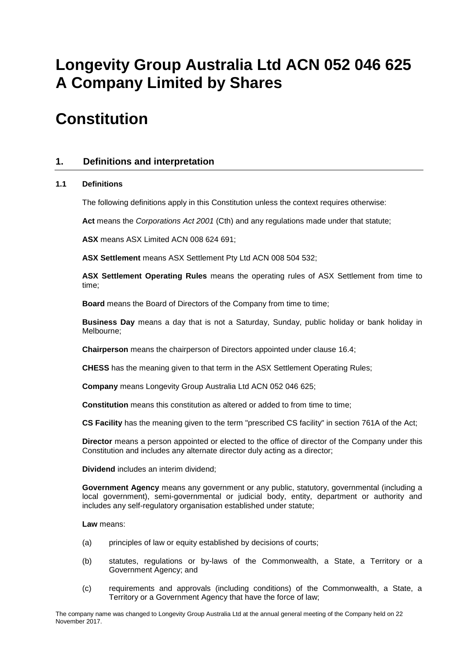# **Longevity Group Australia Ltd ACN 052 046 625 A Company Limited by Shares**

# **Constitution**

# **1. Definitions and interpretation**

# **1.1 Definitions**

The following definitions apply in this Constitution unless the context requires otherwise:

**Act** means the *Corporations Act 2001* (Cth) and any regulations made under that statute;

**ASX** means ASX Limited ACN 008 624 691;

**ASX Settlement** means ASX Settlement Pty Ltd ACN 008 504 532;

**ASX Settlement Operating Rules** means the operating rules of ASX Settlement from time to time;

**Board** means the Board of Directors of the Company from time to time;

**Business Day** means a day that is not a Saturday, Sunday, public holiday or bank holiday in Melbourne;

**Chairperson** means the chairperson of Directors appointed under clause [16.4;](#page-32-0)

**CHESS** has the meaning given to that term in the ASX Settlement Operating Rules;

**Company** means Longevity Group Australia Ltd ACN 052 046 625;

**Constitution** means this constitution as altered or added to from time to time;

**CS Facility** has the meaning given to the term "prescribed CS facility" in section 761A of the Act;

**Director** means a person appointed or elected to the office of director of the Company under this Constitution and includes any alternate director duly acting as a director;

**Dividend** includes an interim dividend;

**Government Agency** means any government or any public, statutory, governmental (including a local government), semi-governmental or judicial body, entity, department or authority and includes any self-regulatory organisation established under statute;

**Law** means:

- (a) principles of law or equity established by decisions of courts;
- (b) statutes, regulations or by-laws of the Commonwealth, a State, a Territory or a Government Agency; and
- (c) requirements and approvals (including conditions) of the Commonwealth, a State, a Territory or a Government Agency that have the force of law;

The company name was changed to Longevity Group Australia Ltd at the annual general meeting of the Company held on 22 November 2017.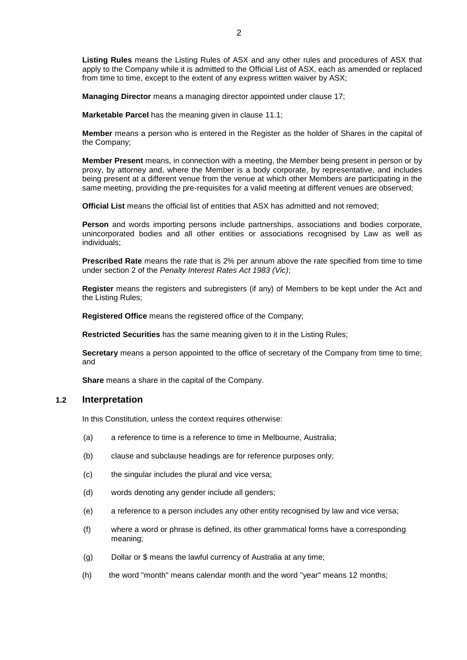**Listing Rules** means the Listing Rules of ASX and any other rules and procedures of ASX that apply to the Company while it is admitted to the Official List of ASX, each as amended or replaced from time to time, except to the extent of any express written waiver by ASX;

**Managing Director** means a managing director appointed under clause [17;](#page-35-0)

**Marketable Parcel** has the meaning given in clause [11.1;](#page-16-0)

**Member** means a person who is entered in the Register as the holder of Shares in the capital of the Company;

**Member Present** means, in connection with a meeting, the Member being present in person or by proxy, by attorney and, where the Member is a body corporate, by representative, and includes being present at a different venue from the venue at which other Members are participating in the same meeting, providing the pre-requisites for a valid meeting at different venues are observed;

**Official List** means the official list of entities that ASX has admitted and not removed;

**Person** and words importing persons include partnerships, associations and bodies corporate, unincorporated bodies and all other entities or associations recognised by Law as well as individuals;

**Prescribed Rate** means the rate that is 2% per annum above the rate specified from time to time under section 2 of the *Penalty Interest Rates Act 1983 (Vic)*;

**Register** means the registers and subregisters (if any) of Members to be kept under the Act and the Listing Rules;

**Registered Office** means the registered office of the Company;

**Restricted Securities** has the same meaning given to it in the Listing Rules;

**Secretary** means a person appointed to the office of secretary of the Company from time to time; and

**Share** means a share in the capital of the Company.

### **1.2 Interpretation**

In this Constitution, unless the context requires otherwise:

- (a) a reference to time is a reference to time in Melbourne, Australia;
- (b) clause and subclause headings are for reference purposes only;
- (c) the singular includes the plural and vice versa;
- (d) words denoting any gender include all genders;
- (e) a reference to a person includes any other entity recognised by law and vice versa;
- (f) where a word or phrase is defined, its other grammatical forms have a corresponding meaning;
- (g) Dollar or \$ means the lawful currency of Australia at any time;
- (h) the word "month" means calendar month and the word "year" means 12 months;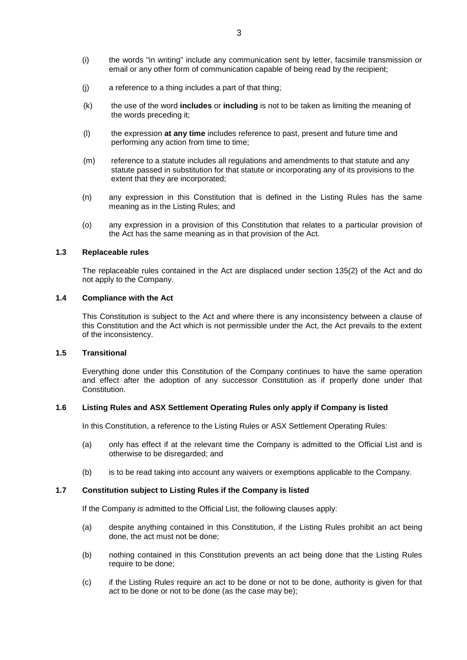- (i) the words "in writing" include any communication sent by letter, facsimile transmission or email or any other form of communication capable of being read by the recipient;
- (j) a reference to a thing includes a part of that thing;
- (k) the use of the word **includes** or **including** is not to be taken as limiting the meaning of the words preceding it;
- (l) the expression **at any time** includes reference to past, present and future time and performing any action from time to time;
- (m) reference to a statute includes all regulations and amendments to that statute and any statute passed in substitution for that statute or incorporating any of its provisions to the extent that they are incorporated;
- (n) any expression in this Constitution that is defined in the Listing Rules has the same meaning as in the Listing Rules; and
- (o) any expression in a provision of this Constitution that relates to a particular provision of the Act has the same meaning as in that provision of the Act.

# **1.3 Replaceable rules**

The replaceable rules contained in the Act are displaced under section 135(2) of the Act and do not apply to the Company.

# **1.4 Compliance with the Act**

This Constitution is subject to the Act and where there is any inconsistency between a clause of this Constitution and the Act which is not permissible under the Act, the Act prevails to the extent of the inconsistency.

# **1.5 Transitional**

Everything done under this Constitution of the Company continues to have the same operation and effect after the adoption of any successor Constitution as if properly done under that Constitution.

# **1.6 Listing Rules and ASX Settlement Operating Rules only apply if Company is listed**

In this Constitution, a reference to the Listing Rules or ASX Settlement Operating Rules:

- (a) only has effect if at the relevant time the Company is admitted to the Official List and is otherwise to be disregarded; and
- (b) is to be read taking into account any waivers or exemptions applicable to the Company.

# **1.7 Constitution subject to Listing Rules if the Company is listed**

If the Company is admitted to the Official List, the following clauses apply:

- (a) despite anything contained in this Constitution, if the Listing Rules prohibit an act being done, the act must not be done;
- (b) nothing contained in this Constitution prevents an act being done that the Listing Rules require to be done;
- (c) if the Listing Rules require an act to be done or not to be done, authority is given for that act to be done or not to be done (as the case may be);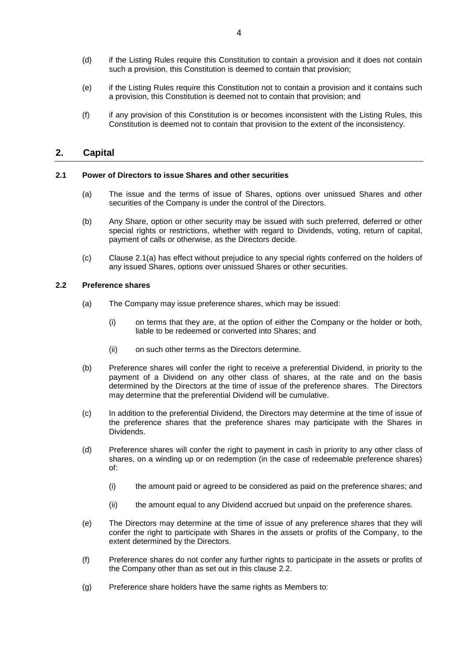- (d) if the Listing Rules require this Constitution to contain a provision and it does not contain such a provision, this Constitution is deemed to contain that provision;
- (e) if the Listing Rules require this Constitution not to contain a provision and it contains such a provision, this Constitution is deemed not to contain that provision; and
- (f) if any provision of this Constitution is or becomes inconsistent with the Listing Rules, this Constitution is deemed not to contain that provision to the extent of the inconsistency.

# **2. Capital**

# <span id="page-5-0"></span>**2.1 Power of Directors to issue Shares and other securities**

- (a) The issue and the terms of issue of Shares, options over unissued Shares and other securities of the Company is under the control of the Directors.
- (b) Any Share, option or other security may be issued with such preferred, deferred or other special rights or restrictions, whether with regard to Dividends, voting, return of capital, payment of calls or otherwise, as the Directors decide.
- (c) Clause [2.1\(a\)](#page-5-0) has effect without prejudice to any special rights conferred on the holders of any issued Shares, options over unissued Shares or other securities.

# <span id="page-5-1"></span>**2.2 Preference shares**

- (a) The Company may issue preference shares, which may be issued:
	- (i) on terms that they are, at the option of either the Company or the holder or both, liable to be redeemed or converted into Shares; and
	- (ii) on such other terms as the Directors determine.
- (b) Preference shares will confer the right to receive a preferential Dividend, in priority to the payment of a Dividend on any other class of shares, at the rate and on the basis determined by the Directors at the time of issue of the preference shares. The Directors may determine that the preferential Dividend will be cumulative.
- (c) In addition to the preferential Dividend, the Directors may determine at the time of issue of the preference shares that the preference shares may participate with the Shares in Dividends.
- (d) Preference shares will confer the right to payment in cash in priority to any other class of shares, on a winding up or on redemption (in the case of redeemable preference shares) of:
	- (i) the amount paid or agreed to be considered as paid on the preference shares; and
	- (ii) the amount equal to any Dividend accrued but unpaid on the preference shares.
- (e) The Directors may determine at the time of issue of any preference shares that they will confer the right to participate with Shares in the assets or profits of the Company, to the extent determined by the Directors.
- (f) Preference shares do not confer any further rights to participate in the assets or profits of the Company other than as set out in this clause [2.2.](#page-5-1)
- (g) Preference share holders have the same rights as Members to: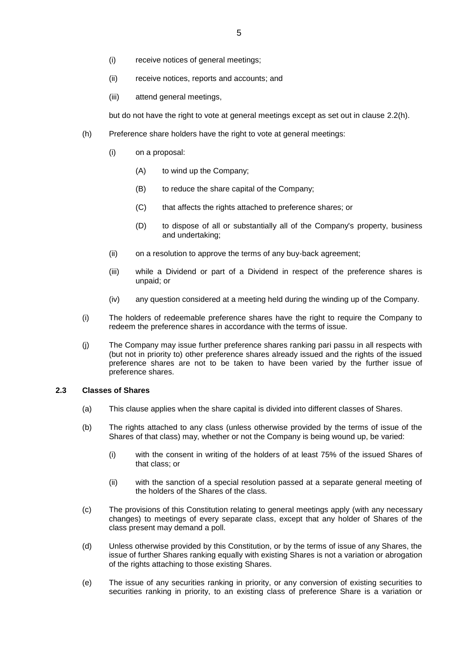- (i) receive notices of general meetings;
- (ii) receive notices, reports and accounts; and
- (iii) attend general meetings,

but do not have the right to vote at general meetings except as set out in clause [2.2\(h\).](#page-6-0)

- <span id="page-6-0"></span>(h) Preference share holders have the right to vote at general meetings:
	- (i) on a proposal:
		- (A) to wind up the Company;
		- (B) to reduce the share capital of the Company;
		- (C) that affects the rights attached to preference shares; or
		- (D) to dispose of all or substantially all of the Company's property, business and undertaking;
	- (ii) on a resolution to approve the terms of any buy-back agreement;
	- (iii) while a Dividend or part of a Dividend in respect of the preference shares is unpaid; or
	- (iv) any question considered at a meeting held during the winding up of the Company.
- (i) The holders of redeemable preference shares have the right to require the Company to redeem the preference shares in accordance with the terms of issue.
- (j) The Company may issue further preference shares ranking pari passu in all respects with (but not in priority to) other preference shares already issued and the rights of the issued preference shares are not to be taken to have been varied by the further issue of preference shares.

# <span id="page-6-1"></span>**2.3 Classes of Shares**

- (a) This clause applies when the share capital is divided into different classes of Shares.
- (b) The rights attached to any class (unless otherwise provided by the terms of issue of the Shares of that class) may, whether or not the Company is being wound up, be varied:
	- (i) with the consent in writing of the holders of at least 75% of the issued Shares of that class; or
	- (ii) with the sanction of a special resolution passed at a separate general meeting of the holders of the Shares of the class.
- (c) The provisions of this Constitution relating to general meetings apply (with any necessary changes) to meetings of every separate class, except that any holder of Shares of the class present may demand a poll.
- (d) Unless otherwise provided by this Constitution, or by the terms of issue of any Shares, the issue of further Shares ranking equally with existing Shares is not a variation or abrogation of the rights attaching to those existing Shares.
- (e) The issue of any securities ranking in priority, or any conversion of existing securities to securities ranking in priority, to an existing class of preference Share is a variation or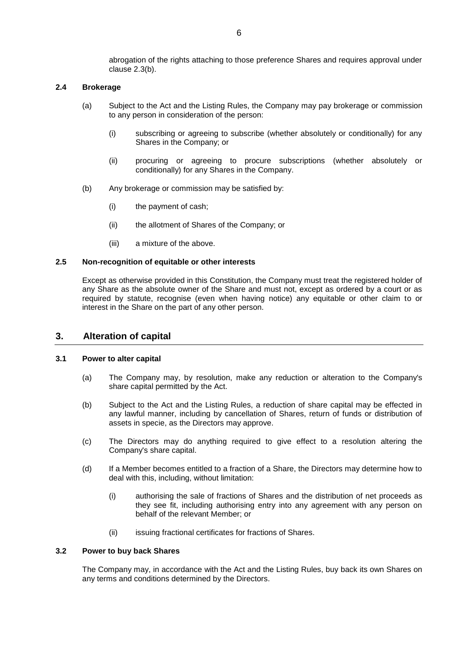abrogation of the rights attaching to those preference Shares and requires approval under clause [2.3\(b\).](#page-6-1)

# **2.4 Brokerage**

- (a) Subject to the Act and the Listing Rules, the Company may pay brokerage or commission to any person in consideration of the person:
	- (i) subscribing or agreeing to subscribe (whether absolutely or conditionally) for any Shares in the Company; or
	- (ii) procuring or agreeing to procure subscriptions (whether absolutely or conditionally) for any Shares in the Company.
- (b) Any brokerage or commission may be satisfied by:
	- (i) the payment of cash;
	- (ii) the allotment of Shares of the Company; or
	- (iii) a mixture of the above.

# **2.5 Non-recognition of equitable or other interests**

Except as otherwise provided in this Constitution, the Company must treat the registered holder of any Share as the absolute owner of the Share and must not, except as ordered by a court or as required by statute, recognise (even when having notice) any equitable or other claim to or interest in the Share on the part of any other person.

# **3. Alteration of capital**

# **3.1 Power to alter capital**

- (a) The Company may, by resolution, make any reduction or alteration to the Company's share capital permitted by the Act.
- (b) Subject to the Act and the Listing Rules, a reduction of share capital may be effected in any lawful manner, including by cancellation of Shares, return of funds or distribution of assets in specie, as the Directors may approve.
- (c) The Directors may do anything required to give effect to a resolution altering the Company's share capital.
- (d) If a Member becomes entitled to a fraction of a Share, the Directors may determine how to deal with this, including, without limitation:
	- (i) authorising the sale of fractions of Shares and the distribution of net proceeds as they see fit, including authorising entry into any agreement with any person on behalf of the relevant Member; or
	- (ii) issuing fractional certificates for fractions of Shares.

# **3.2 Power to buy back Shares**

The Company may, in accordance with the Act and the Listing Rules, buy back its own Shares on any terms and conditions determined by the Directors.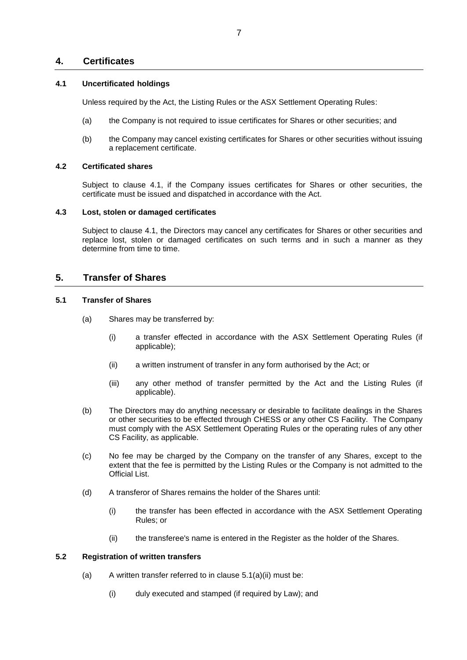# **4. Certificates**

# <span id="page-8-0"></span>**4.1 Uncertificated holdings**

Unless required by the Act, the Listing Rules or the ASX Settlement Operating Rules:

- (a) the Company is not required to issue certificates for Shares or other securities; and
- (b) the Company may cancel existing certificates for Shares or other securities without issuing a replacement certificate.

# **4.2 Certificated shares**

Subject to clause [4.1,](#page-8-0) if the Company issues certificates for Shares or other securities, the certificate must be issued and dispatched in accordance with the Act.

# **4.3 Lost, stolen or damaged certificates**

Subject to clause [4.1,](#page-8-0) the Directors may cancel any certificates for Shares or other securities and replace lost, stolen or damaged certificates on such terms and in such a manner as they determine from time to time.

# **5. Transfer of Shares**

# **5.1 Transfer of Shares**

- <span id="page-8-1"></span>(a) Shares may be transferred by:
	- (i) a transfer effected in accordance with the ASX Settlement Operating Rules (if applicable);
	- (ii) a written instrument of transfer in any form authorised by the Act; or
	- (iii) any other method of transfer permitted by the Act and the Listing Rules (if applicable).
- (b) The Directors may do anything necessary or desirable to facilitate dealings in the Shares or other securities to be effected through CHESS or any other CS Facility. The Company must comply with the ASX Settlement Operating Rules or the operating rules of any other CS Facility, as applicable.
- (c) No fee may be charged by the Company on the transfer of any Shares, except to the extent that the fee is permitted by the Listing Rules or the Company is not admitted to the Official List.
- (d) A transferor of Shares remains the holder of the Shares until:
	- (i) the transfer has been effected in accordance with the ASX Settlement Operating Rules; or
	- (ii) the transferee's name is entered in the Register as the holder of the Shares.

# **5.2 Registration of written transfers**

- <span id="page-8-2"></span>(a) A written transfer referred to in clause  $5.1(a)(ii)$  must be:
	- (i) duly executed and stamped (if required by Law); and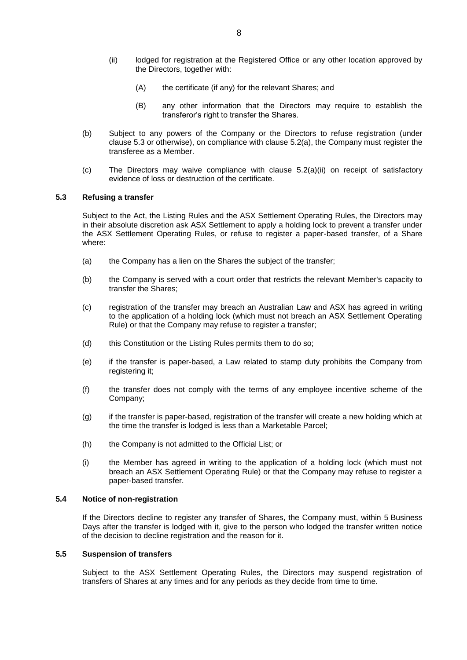- <span id="page-9-1"></span>(ii) lodged for registration at the Registered Office or any other location approved by the Directors, together with:
	- (A) the certificate (if any) for the relevant Shares; and
	- (B) any other information that the Directors may require to establish the transferor's right to transfer the Shares.
- (b) Subject to any powers of the Company or the Directors to refuse registration (under clause [5.3](#page-9-0) or otherwise), on compliance with clause [5.2\(a\),](#page-8-2) the Company must register the transferee as a Member.
- (c) The Directors may waive compliance with clause [5.2\(a\)\(ii\)](#page-9-1) on receipt of satisfactory evidence of loss or destruction of the certificate.

# <span id="page-9-0"></span>**5.3 Refusing a transfer**

Subject to the Act, the Listing Rules and the ASX Settlement Operating Rules, the Directors may in their absolute discretion ask ASX Settlement to apply a holding lock to prevent a transfer under the ASX Settlement Operating Rules, or refuse to register a paper-based transfer, of a Share where:

- (a) the Company has a lien on the Shares the subject of the transfer;
- (b) the Company is served with a court order that restricts the relevant Member's capacity to transfer the Shares;
- (c) registration of the transfer may breach an Australian Law and ASX has agreed in writing to the application of a holding lock (which must not breach an ASX Settlement Operating Rule) or that the Company may refuse to register a transfer;
- (d) this Constitution or the Listing Rules permits them to do so;
- (e) if the transfer is paper-based, a Law related to stamp duty prohibits the Company from registering it;
- (f) the transfer does not comply with the terms of any employee incentive scheme of the Company;
- (g) if the transfer is paper-based, registration of the transfer will create a new holding which at the time the transfer is lodged is less than a Marketable Parcel;
- (h) the Company is not admitted to the Official List; or
- (i) the Member has agreed in writing to the application of a holding lock (which must not breach an ASX Settlement Operating Rule) or that the Company may refuse to register a paper-based transfer.

#### **5.4 Notice of non-registration**

If the Directors decline to register any transfer of Shares, the Company must, within 5 Business Days after the transfer is lodged with it, give to the person who lodged the transfer written notice of the decision to decline registration and the reason for it.

# **5.5 Suspension of transfers**

Subject to the ASX Settlement Operating Rules, the Directors may suspend registration of transfers of Shares at any times and for any periods as they decide from time to time.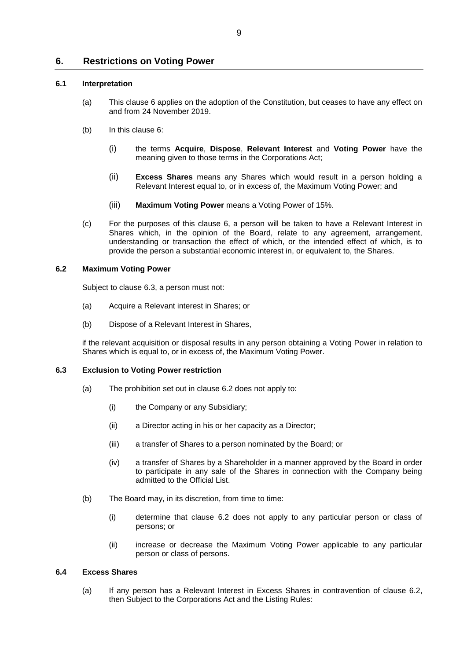# <span id="page-10-0"></span>**6. Restrictions on Voting Power**

# **6.1 Interpretation**

- (a) This clause [6](#page-10-0) applies on the adoption of the Constitution, but ceases to have any effect on and from 24 November 2019.
- (b) In this clause [6:](#page-10-0)
	- (i) the terms **Acquire**, **Dispose**, **Relevant Interest** and **Voting Power** have the meaning given to those terms in the Corporations Act;
	- (ii) **Excess Shares** means any Shares which would result in a person holding a Relevant Interest equal to, or in excess of, the Maximum Voting Power; and
	- (iii) **Maximum Voting Power** means a Voting Power of 15%.
- (c) For the purposes of this clause [6,](#page-10-0) a person will be taken to have a Relevant Interest in Shares which, in the opinion of the Board, relate to any agreement, arrangement, understanding or transaction the effect of which, or the intended effect of which, is to provide the person a substantial economic interest in, or equivalent to, the Shares.

# <span id="page-10-2"></span>**6.2 Maximum Voting Power**

Subject to clause [6.3,](#page-10-1) a person must not:

- (a) Acquire a Relevant interest in Shares; or
- (b) Dispose of a Relevant Interest in Shares,

if the relevant acquisition or disposal results in any person obtaining a Voting Power in relation to Shares which is equal to, or in excess of, the Maximum Voting Power.

# <span id="page-10-1"></span>**6.3 Exclusion to Voting Power restriction**

- (a) The prohibition set out in clause [6.2](#page-10-2) does not apply to:
	- (i) the Company or any Subsidiary;
	- (ii) a Director acting in his or her capacity as a Director;
	- (iii) a transfer of Shares to a person nominated by the Board; or
	- (iv) a transfer of Shares by a Shareholder in a manner approved by the Board in order to participate in any sale of the Shares in connection with the Company being admitted to the Official List.
- (b) The Board may, in its discretion, from time to time:
	- (i) determine that clause [6.2](#page-10-2) does not apply to any particular person or class of persons; or
	- (ii) increase or decrease the Maximum Voting Power applicable to any particular person or class of persons.

# **6.4 Excess Shares**

(a) If any person has a Relevant Interest in Excess Shares in contravention of clause [6.2,](#page-10-2) then Subject to the Corporations Act and the Listing Rules: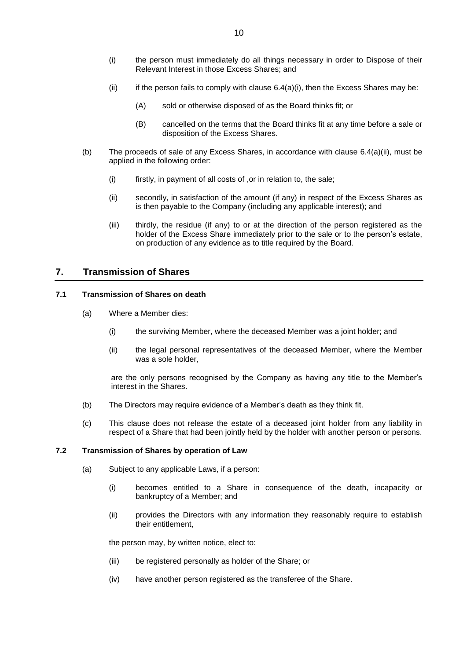- <span id="page-11-0"></span>(i) the person must immediately do all things necessary in order to Dispose of their Relevant Interest in those Excess Shares; and
- <span id="page-11-1"></span>(ii) if the person fails to comply with clause  $6.4(a)(i)$ , then the Excess Shares may be:
	- (A) sold or otherwise disposed of as the Board thinks fit; or
	- (B) cancelled on the terms that the Board thinks fit at any time before a sale or disposition of the Excess Shares.
- (b) The proceeds of sale of any Excess Shares, in accordance with clause [6.4\(a\)\(ii\),](#page-11-1) must be applied in the following order:
	- (i) firstly, in payment of all costs of ,or in relation to, the sale;
	- (ii) secondly, in satisfaction of the amount (if any) in respect of the Excess Shares as is then payable to the Company (including any applicable interest); and
	- (iii) thirdly, the residue (if any) to or at the direction of the person registered as the holder of the Excess Share immediately prior to the sale or to the person's estate, on production of any evidence as to title required by the Board.

# **7. Transmission of Shares**

# **7.1 Transmission of Shares on death**

- (a) Where a Member dies:
	- (i) the surviving Member, where the deceased Member was a joint holder; and
	- (ii) the legal personal representatives of the deceased Member, where the Member was a sole holder,

are the only persons recognised by the Company as having any title to the Member's interest in the Shares.

- (b) The Directors may require evidence of a Member's death as they think fit.
- (c) This clause does not release the estate of a deceased joint holder from any liability in respect of a Share that had been jointly held by the holder with another person or persons.

# **7.2 Transmission of Shares by operation of Law**

- (a) Subject to any applicable Laws, if a person:
	- (i) becomes entitled to a Share in consequence of the death, incapacity or bankruptcy of a Member; and
	- (ii) provides the Directors with any information they reasonably require to establish their entitlement,

the person may, by written notice, elect to:

- (iii) be registered personally as holder of the Share; or
- (iv) have another person registered as the transferee of the Share.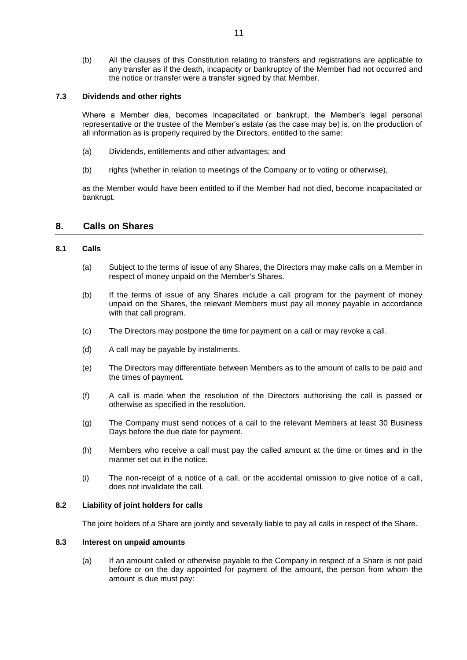(b) All the clauses of this Constitution relating to transfers and registrations are applicable to any transfer as if the death, incapacity or bankruptcy of the Member had not occurred and the notice or transfer were a transfer signed by that Member.

# **7.3 Dividends and other rights**

Where a Member dies, becomes incapacitated or bankrupt, the Member's legal personal representative or the trustee of the Member's estate (as the case may be) is, on the production of all information as is properly required by the Directors, entitled to the same:

- (a) Dividends, entitlements and other advantages; and
- (b) rights (whether in relation to meetings of the Company or to voting or otherwise),

as the Member would have been entitled to if the Member had not died, become incapacitated or bankrupt.

# **8. Calls on Shares**

# **8.1 Calls**

- (a) Subject to the terms of issue of any Shares, the Directors may make calls on a Member in respect of money unpaid on the Member's Shares.
- (b) If the terms of issue of any Shares include a call program for the payment of money unpaid on the Shares, the relevant Members must pay all money payable in accordance with that call program.
- (c) The Directors may postpone the time for payment on a call or may revoke a call.
- (d) A call may be payable by instalments.
- (e) The Directors may differentiate between Members as to the amount of calls to be paid and the times of payment.
- (f) A call is made when the resolution of the Directors authorising the call is passed or otherwise as specified in the resolution.
- (g) The Company must send notices of a call to the relevant Members at least 30 Business Days before the due date for payment.
- (h) Members who receive a call must pay the called amount at the time or times and in the manner set out in the notice.
- (i) The non-receipt of a notice of a call, or the accidental omission to give notice of a call, does not invalidate the call.

# **8.2 Liability of joint holders for calls**

The joint holders of a Share are jointly and severally liable to pay all calls in respect of the Share.

# **8.3 Interest on unpaid amounts**

(a) If an amount called or otherwise payable to the Company in respect of a Share is not paid before or on the day appointed for payment of the amount, the person from whom the amount is due must pay: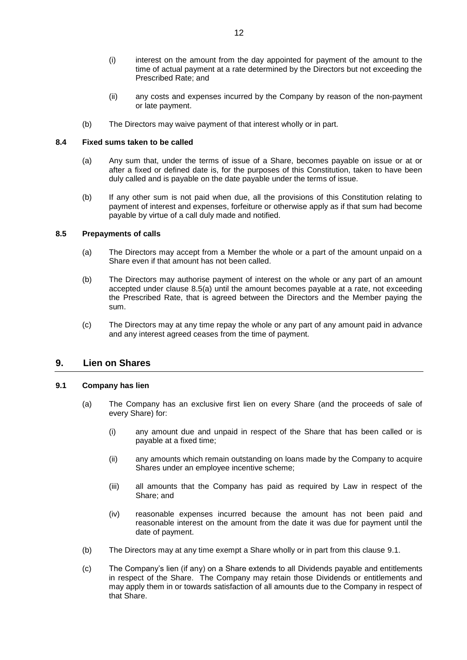- (i) interest on the amount from the day appointed for payment of the amount to the time of actual payment at a rate determined by the Directors but not exceeding the Prescribed Rate; and
- (ii) any costs and expenses incurred by the Company by reason of the non-payment or late payment.
- (b) The Directors may waive payment of that interest wholly or in part.

# **8.4 Fixed sums taken to be called**

- (a) Any sum that, under the terms of issue of a Share, becomes payable on issue or at or after a fixed or defined date is, for the purposes of this Constitution, taken to have been duly called and is payable on the date payable under the terms of issue.
- (b) If any other sum is not paid when due, all the provisions of this Constitution relating to payment of interest and expenses, forfeiture or otherwise apply as if that sum had become payable by virtue of a call duly made and notified.

# **8.5 Prepayments of calls**

- (a) The Directors may accept from a Member the whole or a part of the amount unpaid on a Share even if that amount has not been called.
- (b) The Directors may authorise payment of interest on the whole or any part of an amount accepted under clause 8.5(a) until the amount becomes payable at a rate, not exceeding the Prescribed Rate, that is agreed between the Directors and the Member paying the sum.
- (c) The Directors may at any time repay the whole or any part of any amount paid in advance and any interest agreed ceases from the time of payment.

# <span id="page-13-1"></span>**9. Lien on Shares**

# <span id="page-13-0"></span>**9.1 Company has lien**

- (a) The Company has an exclusive first lien on every Share (and the proceeds of sale of every Share) for:
	- (i) any amount due and unpaid in respect of the Share that has been called or is payable at a fixed time;
	- (ii) any amounts which remain outstanding on loans made by the Company to acquire Shares under an employee incentive scheme;
	- (iii) all amounts that the Company has paid as required by Law in respect of the Share; and
	- (iv) reasonable expenses incurred because the amount has not been paid and reasonable interest on the amount from the date it was due for payment until the date of payment.
- <span id="page-13-2"></span>(b) The Directors may at any time exempt a Share wholly or in part from this clause [9.1.](#page-13-0)
- (c) The Company's lien (if any) on a Share extends to all Dividends payable and entitlements in respect of the Share. The Company may retain those Dividends or entitlements and may apply them in or towards satisfaction of all amounts due to the Company in respect of that Share.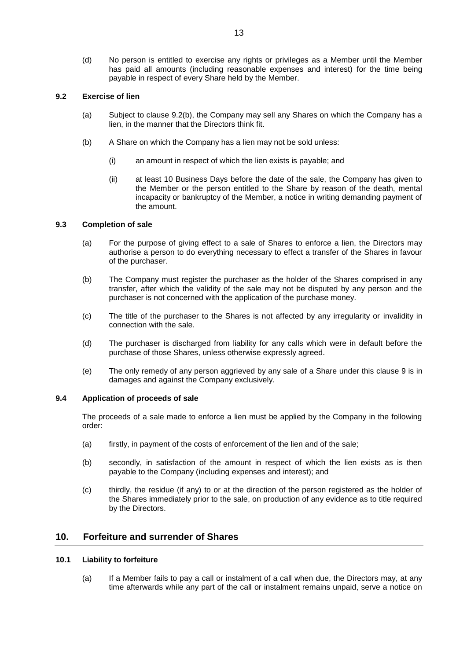(d) No person is entitled to exercise any rights or privileges as a Member until the Member has paid all amounts (including reasonable expenses and interest) for the time being payable in respect of every Share held by the Member.

# **9.2 Exercise of lien**

- (a) Subject to clause 9.2(b), the Company may sell any Shares on which the Company has a lien, in the manner that the Directors think fit.
- (b) A Share on which the Company has a lien may not be sold unless:
	- (i) an amount in respect of which the lien exists is payable; and
	- (ii) at least 10 Business Days before the date of the sale, the Company has given to the Member or the person entitled to the Share by reason of the death, mental incapacity or bankruptcy of the Member, a notice in writing demanding payment of the amount.

# **9.3 Completion of sale**

- (a) For the purpose of giving effect to a sale of Shares to enforce a lien, the Directors may authorise a person to do everything necessary to effect a transfer of the Shares in favour of the purchaser.
- (b) The Company must register the purchaser as the holder of the Shares comprised in any transfer, after which the validity of the sale may not be disputed by any person and the purchaser is not concerned with the application of the purchase money.
- (c) The title of the purchaser to the Shares is not affected by any irregularity or invalidity in connection with the sale.
- (d) The purchaser is discharged from liability for any calls which were in default before the purchase of those Shares, unless otherwise expressly agreed.
- (e) The only remedy of any person aggrieved by any sale of a Share under this clause [9](#page-13-1) is in damages and against the Company exclusively.

# **9.4 Application of proceeds of sale**

The proceeds of a sale made to enforce a lien must be applied by the Company in the following order:

- (a) firstly, in payment of the costs of enforcement of the lien and of the sale;
- (b) secondly, in satisfaction of the amount in respect of which the lien exists as is then payable to the Company (including expenses and interest); and
- (c) thirdly, the residue (if any) to or at the direction of the person registered as the holder of the Shares immediately prior to the sale, on production of any evidence as to title required by the Directors.

# **10. Forfeiture and surrender of Shares**

# <span id="page-14-0"></span>**10.1 Liability to forfeiture**

(a) If a Member fails to pay a call or instalment of a call when due, the Directors may, at any time afterwards while any part of the call or instalment remains unpaid, serve a notice on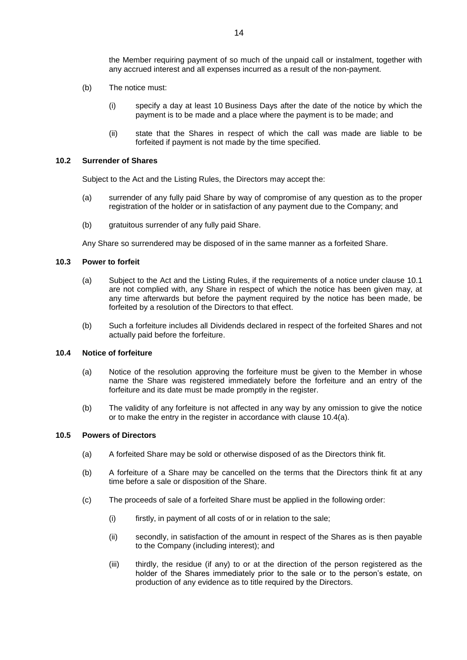the Member requiring payment of so much of the unpaid call or instalment, together with any accrued interest and all expenses incurred as a result of the non-payment.

- (b) The notice must:
	- (i) specify a day at least 10 Business Days after the date of the notice by which the payment is to be made and a place where the payment is to be made; and
	- (ii) state that the Shares in respect of which the call was made are liable to be forfeited if payment is not made by the time specified.

#### **10.2 Surrender of Shares**

Subject to the Act and the Listing Rules, the Directors may accept the:

- (a) surrender of any fully paid Share by way of compromise of any question as to the proper registration of the holder or in satisfaction of any payment due to the Company; and
- (b) gratuitous surrender of any fully paid Share.

Any Share so surrendered may be disposed of in the same manner as a forfeited Share.

#### **10.3 Power to forfeit**

- (a) Subject to the Act and the Listing Rules, if the requirements of a notice under clause [10.1](#page-14-0) are not complied with, any Share in respect of which the notice has been given may, at any time afterwards but before the payment required by the notice has been made, be forfeited by a resolution of the Directors to that effect.
- (b) Such a forfeiture includes all Dividends declared in respect of the forfeited Shares and not actually paid before the forfeiture.

#### <span id="page-15-1"></span><span id="page-15-0"></span>**10.4 Notice of forfeiture**

- (a) Notice of the resolution approving the forfeiture must be given to the Member in whose name the Share was registered immediately before the forfeiture and an entry of the forfeiture and its date must be made promptly in the register.
- (b) The validity of any forfeiture is not affected in any way by any omission to give the notice or to make the entry in the register in accordance with clause [10.4\(a\).](#page-15-0)

#### **10.5 Powers of Directors**

- (a) A forfeited Share may be sold or otherwise disposed of as the Directors think fit.
- (b) A forfeiture of a Share may be cancelled on the terms that the Directors think fit at any time before a sale or disposition of the Share.
- (c) The proceeds of sale of a forfeited Share must be applied in the following order:
	- (i) firstly, in payment of all costs of or in relation to the sale;
	- (ii) secondly, in satisfaction of the amount in respect of the Shares as is then payable to the Company (including interest); and
	- (iii) thirdly, the residue (if any) to or at the direction of the person registered as the holder of the Shares immediately prior to the sale or to the person's estate, on production of any evidence as to title required by the Directors.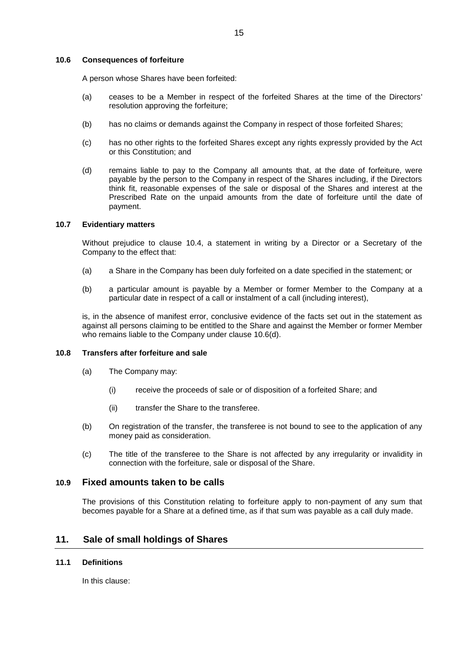#### **10.6 Consequences of forfeiture**

A person whose Shares have been forfeited:

- (a) ceases to be a Member in respect of the forfeited Shares at the time of the Directors' resolution approving the forfeiture;
- (b) has no claims or demands against the Company in respect of those forfeited Shares;
- (c) has no other rights to the forfeited Shares except any rights expressly provided by the Act or this Constitution; and
- <span id="page-16-1"></span>(d) remains liable to pay to the Company all amounts that, at the date of forfeiture, were payable by the person to the Company in respect of the Shares including, if the Directors think fit, reasonable expenses of the sale or disposal of the Shares and interest at the Prescribed Rate on the unpaid amounts from the date of forfeiture until the date of payment.

#### **10.7 Evidentiary matters**

Without prejudice to clause [10.4,](#page-15-1) a statement in writing by a Director or a Secretary of the Company to the effect that:

- (a) a Share in the Company has been duly forfeited on a date specified in the statement; or
- (b) a particular amount is payable by a Member or former Member to the Company at a particular date in respect of a call or instalment of a call (including interest),

is, in the absence of manifest error, conclusive evidence of the facts set out in the statement as against all persons claiming to be entitled to the Share and against the Member or former Member who remains liable to the Company under clause [10.6\(d\).](#page-16-1)

# **10.8 Transfers after forfeiture and sale**

- (a) The Company may:
	- (i) receive the proceeds of sale or of disposition of a forfeited Share; and
	- (ii) transfer the Share to the transferee.
- (b) On registration of the transfer, the transferee is not bound to see to the application of any money paid as consideration.
- (c) The title of the transferee to the Share is not affected by any irregularity or invalidity in connection with the forfeiture, sale or disposal of the Share.

# **10.9 Fixed amounts taken to be calls**

The provisions of this Constitution relating to forfeiture apply to non-payment of any sum that becomes payable for a Share at a defined time, as if that sum was payable as a call duly made.

# <span id="page-16-2"></span>**11. Sale of small holdings of Shares**

# <span id="page-16-0"></span>**11.1 Definitions**

In this clause: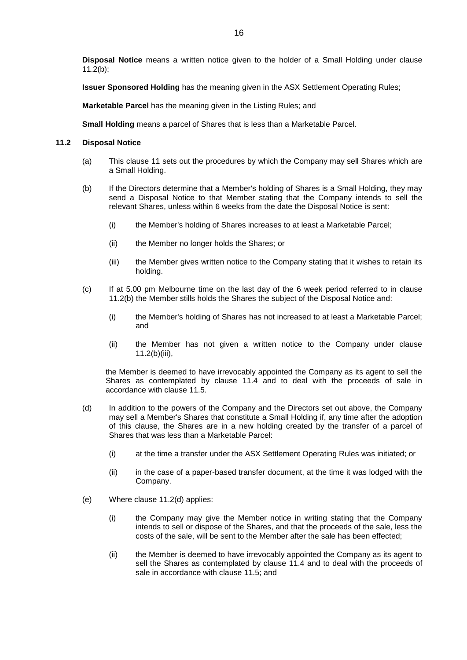**Disposal Notice** means a written notice given to the holder of a Small Holding under clause [11.2\(b\);](#page-17-0)

**Issuer Sponsored Holding** has the meaning given in the ASX Settlement Operating Rules;

**Marketable Parcel** has the meaning given in the Listing Rules; and

**Small Holding** means a parcel of Shares that is less than a Marketable Parcel.

# <span id="page-17-3"></span>**11.2 Disposal Notice**

- (a) This clause [11](#page-16-2) sets out the procedures by which the Company may sell Shares which are a Small Holding.
- <span id="page-17-0"></span>(b) If the Directors determine that a Member's holding of Shares is a Small Holding, they may send a Disposal Notice to that Member stating that the Company intends to sell the relevant Shares, unless within 6 weeks from the date the Disposal Notice is sent:
	- (i) the Member's holding of Shares increases to at least a Marketable Parcel;
	- (ii) the Member no longer holds the Shares; or
	- (iii) the Member gives written notice to the Company stating that it wishes to retain its holding.
- <span id="page-17-4"></span><span id="page-17-1"></span>(c) If at 5.00 pm Melbourne time on the last day of the 6 week period referred to in clause [11.2\(b\)](#page-17-0) the Member stills holds the Shares the subject of the Disposal Notice and:
	- (i) the Member's holding of Shares has not increased to at least a Marketable Parcel; and
	- (ii) the Member has not given a written notice to the Company under clause [11.2\(b\)\(iii\),](#page-17-1)

the Member is deemed to have irrevocably appointed the Company as its agent to sell the Shares as contemplated by clause [11.4](#page-18-0) and to deal with the proceeds of sale in accordance with clause [11.5.](#page-18-1)

- <span id="page-17-2"></span>(d) In addition to the powers of the Company and the Directors set out above, the Company may sell a Member's Shares that constitute a Small Holding if, any time after the adoption of this clause, the Shares are in a new holding created by the transfer of a parcel of Shares that was less than a Marketable Parcel:
	- (i) at the time a transfer under the ASX Settlement Operating Rules was initiated; or
	- (ii) in the case of a paper-based transfer document, at the time it was lodged with the Company.
- (e) Where clause [11.2\(d\)](#page-17-2) applies:
	- (i) the Company may give the Member notice in writing stating that the Company intends to sell or dispose of the Shares, and that the proceeds of the sale, less the costs of the sale, will be sent to the Member after the sale has been effected;
	- (ii) the Member is deemed to have irrevocably appointed the Company as its agent to sell the Shares as contemplated by clause [11.4](#page-18-0) and to deal with the proceeds of sale in accordance with clause [11.5;](#page-18-1) and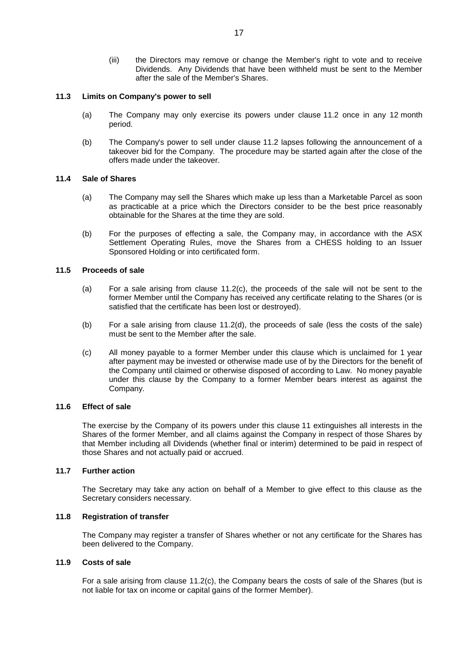(iii) the Directors may remove or change the Member's right to vote and to receive Dividends. Any Dividends that have been withheld must be sent to the Member after the sale of the Member's Shares.

# **11.3 Limits on Company's power to sell**

- (a) The Company may only exercise its powers under clause [11.2](#page-17-3) once in any 12 month period.
- (b) The Company's power to sell under clause [11.2](#page-17-3) lapses following the announcement of a takeover bid for the Company. The procedure may be started again after the close of the offers made under the takeover.

# <span id="page-18-0"></span>**11.4 Sale of Shares**

- (a) The Company may sell the Shares which make up less than a Marketable Parcel as soon as practicable at a price which the Directors consider to be the best price reasonably obtainable for the Shares at the time they are sold.
- (b) For the purposes of effecting a sale, the Company may, in accordance with the ASX Settlement Operating Rules, move the Shares from a CHESS holding to an Issuer Sponsored Holding or into certificated form.

# <span id="page-18-1"></span>**11.5 Proceeds of sale**

- (a) For a sale arising from clause [11.2\(c\),](#page-17-4) the proceeds of the sale will not be sent to the former Member until the Company has received any certificate relating to the Shares (or is satisfied that the certificate has been lost or destroyed).
- (b) For a sale arising from clause [11.2\(d\),](#page-17-2) the proceeds of sale (less the costs of the sale) must be sent to the Member after the sale.
- (c) All money payable to a former Member under this clause which is unclaimed for 1 year after payment may be invested or otherwise made use of by the Directors for the benefit of the Company until claimed or otherwise disposed of according to Law. No money payable under this clause by the Company to a former Member bears interest as against the Company.

# **11.6 Effect of sale**

The exercise by the Company of its powers under this clause [11](#page-16-2) extinguishes all interests in the Shares of the former Member, and all claims against the Company in respect of those Shares by that Member including all Dividends (whether final or interim) determined to be paid in respect of those Shares and not actually paid or accrued.

# **11.7 Further action**

The Secretary may take any action on behalf of a Member to give effect to this clause as the Secretary considers necessary.

# **11.8 Registration of transfer**

The Company may register a transfer of Shares whether or not any certificate for the Shares has been delivered to the Company.

# **11.9 Costs of sale**

For a sale arising from clause [11.2\(c\),](#page-17-4) the Company bears the costs of sale of the Shares (but is not liable for tax on income or capital gains of the former Member).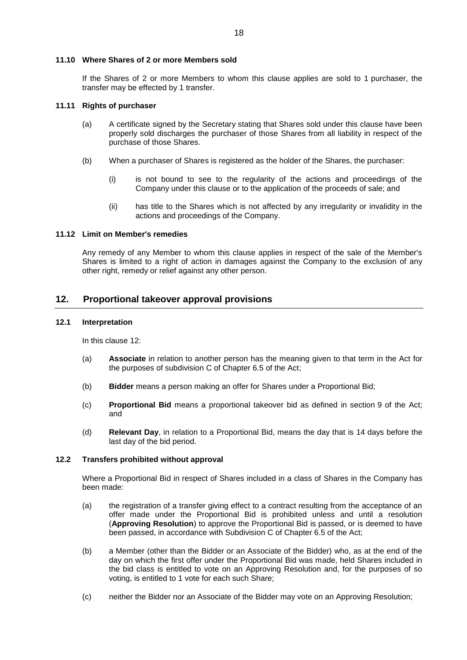### **11.10 Where Shares of 2 or more Members sold**

If the Shares of 2 or more Members to whom this clause applies are sold to 1 purchaser, the transfer may be effected by 1 transfer.

#### **11.11 Rights of purchaser**

- (a) A certificate signed by the Secretary stating that Shares sold under this clause have been properly sold discharges the purchaser of those Shares from all liability in respect of the purchase of those Shares.
- (b) When a purchaser of Shares is registered as the holder of the Shares, the purchaser:
	- (i) is not bound to see to the regularity of the actions and proceedings of the Company under this clause or to the application of the proceeds of sale; and
	- (ii) has title to the Shares which is not affected by any irregularity or invalidity in the actions and proceedings of the Company.

#### **11.12 Limit on Member's remedies**

Any remedy of any Member to whom this clause applies in respect of the sale of the Member's Shares is limited to a right of action in damages against the Company to the exclusion of any other right, remedy or relief against any other person.

# <span id="page-19-0"></span>**12. Proportional takeover approval provisions**

### **12.1 Interpretation**

In this clause [12:](#page-19-0)

- (a) **Associate** in relation to another person has the meaning given to that term in the Act for the purposes of subdivision C of Chapter 6.5 of the Act;
- (b) **Bidder** means a person making an offer for Shares under a Proportional Bid;
- (c) **Proportional Bid** means a proportional takeover bid as defined in section 9 of the Act; and
- (d) **Relevant Day**, in relation to a Proportional Bid, means the day that is 14 days before the last day of the bid period.

# **12.2 Transfers prohibited without approval**

Where a Proportional Bid in respect of Shares included in a class of Shares in the Company has been made:

- (a) the registration of a transfer giving effect to a contract resulting from the acceptance of an offer made under the Proportional Bid is prohibited unless and until a resolution (**Approving Resolution**) to approve the Proportional Bid is passed, or is deemed to have been passed, in accordance with Subdivision C of Chapter 6.5 of the Act;
- (b) a Member (other than the Bidder or an Associate of the Bidder) who, as at the end of the day on which the first offer under the Proportional Bid was made, held Shares included in the bid class is entitled to vote on an Approving Resolution and, for the purposes of so voting, is entitled to 1 vote for each such Share;
- (c) neither the Bidder nor an Associate of the Bidder may vote on an Approving Resolution;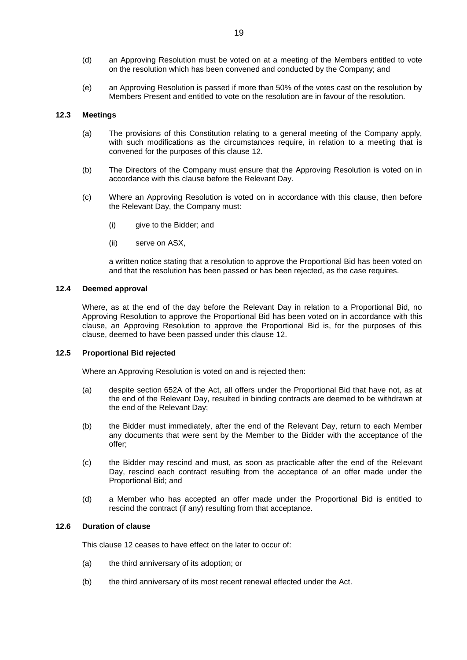- (d) an Approving Resolution must be voted on at a meeting of the Members entitled to vote on the resolution which has been convened and conducted by the Company; and
- (e) an Approving Resolution is passed if more than 50% of the votes cast on the resolution by Members Present and entitled to vote on the resolution are in favour of the resolution.

# **12.3 Meetings**

- (a) The provisions of this Constitution relating to a general meeting of the Company apply, with such modifications as the circumstances require, in relation to a meeting that is convened for the purposes of this clause [12.](#page-19-0)
- (b) The Directors of the Company must ensure that the Approving Resolution is voted on in accordance with this clause before the Relevant Day.
- (c) Where an Approving Resolution is voted on in accordance with this clause, then before the Relevant Day, the Company must:
	- (i) give to the Bidder; and
	- (ii) serve on ASX,

a written notice stating that a resolution to approve the Proportional Bid has been voted on and that the resolution has been passed or has been rejected, as the case requires.

# **12.4 Deemed approval**

Where, as at the end of the day before the Relevant Day in relation to a Proportional Bid, no Approving Resolution to approve the Proportional Bid has been voted on in accordance with this clause, an Approving Resolution to approve the Proportional Bid is, for the purposes of this clause, deemed to have been passed under this clause [12.](#page-19-0)

#### **12.5 Proportional Bid rejected**

Where an Approving Resolution is voted on and is rejected then:

- (a) despite section 652A of the Act, all offers under the Proportional Bid that have not, as at the end of the Relevant Day, resulted in binding contracts are deemed to be withdrawn at the end of the Relevant Day;
- (b) the Bidder must immediately, after the end of the Relevant Day, return to each Member any documents that were sent by the Member to the Bidder with the acceptance of the offer;
- (c) the Bidder may rescind and must, as soon as practicable after the end of the Relevant Day, rescind each contract resulting from the acceptance of an offer made under the Proportional Bid; and
- (d) a Member who has accepted an offer made under the Proportional Bid is entitled to rescind the contract (if any) resulting from that acceptance.

#### **12.6 Duration of clause**

This clause [12](#page-19-0) ceases to have effect on the later to occur of:

- (a) the third anniversary of its adoption; or
- (b) the third anniversary of its most recent renewal effected under the Act.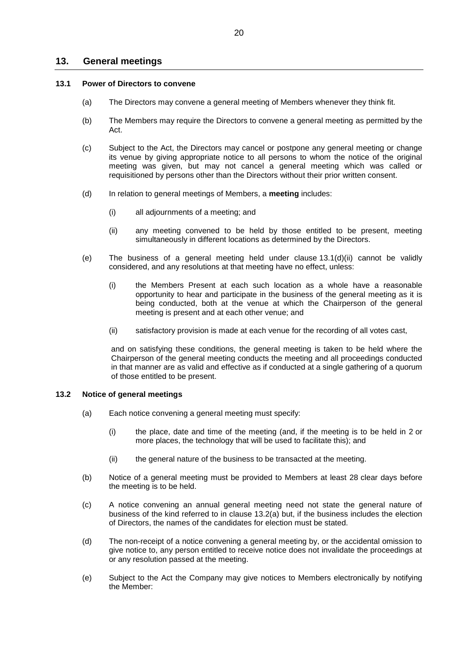# **13. General meetings**

#### **13.1 Power of Directors to convene**

- (a) The Directors may convene a general meeting of Members whenever they think fit.
- (b) The Members may require the Directors to convene a general meeting as permitted by the Act.
- (c) Subject to the Act, the Directors may cancel or postpone any general meeting or change its venue by giving appropriate notice to all persons to whom the notice of the original meeting was given, but may not cancel a general meeting which was called or requisitioned by persons other than the Directors without their prior written consent.
- <span id="page-21-0"></span>(d) In relation to general meetings of Members, a **meeting** includes:
	- (i) all adjournments of a meeting; and
	- (ii) any meeting convened to be held by those entitled to be present, meeting simultaneously in different locations as determined by the Directors.
- (e) The business of a general meeting held under clause [13.1\(d\)\(ii\)](#page-21-0) cannot be validly considered, and any resolutions at that meeting have no effect, unless:
	- (i) the Members Present at each such location as a whole have a reasonable opportunity to hear and participate in the business of the general meeting as it is being conducted, both at the venue at which the Chairperson of the general meeting is present and at each other venue; and
	- (ii) satisfactory provision is made at each venue for the recording of all votes cast,

and on satisfying these conditions, the general meeting is taken to be held where the Chairperson of the general meeting conducts the meeting and all proceedings conducted in that manner are as valid and effective as if conducted at a single gathering of a quorum of those entitled to be present.

# **13.2 Notice of general meetings**

- (a) Each notice convening a general meeting must specify:
	- (i) the place, date and time of the meeting (and, if the meeting is to be held in 2 or more places, the technology that will be used to facilitate this); and
	- (ii) the general nature of the business to be transacted at the meeting.
- (b) Notice of a general meeting must be provided to Members at least 28 clear days before the meeting is to be held.
- (c) A notice convening an annual general meeting need not state the general nature of business of the kind referred to in clause 13.2(a) but, if the business includes the election of Directors, the names of the candidates for election must be stated.
- (d) The non-receipt of a notice convening a general meeting by, or the accidental omission to give notice to, any person entitled to receive notice does not invalidate the proceedings at or any resolution passed at the meeting.
- (e) Subject to the Act the Company may give notices to Members electronically by notifying the Member: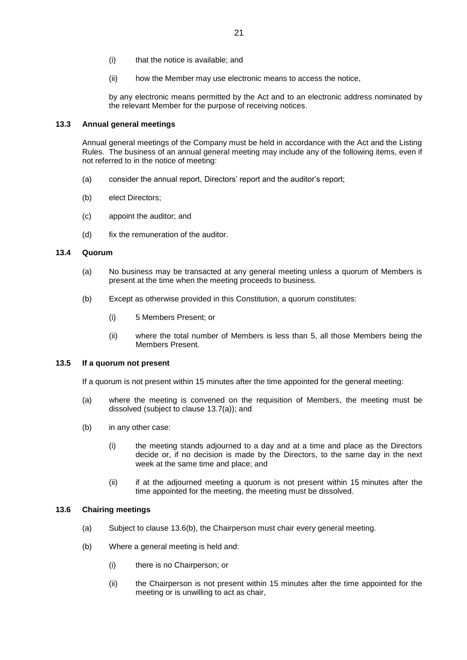- (i) that the notice is available; and
- (ii) how the Member may use electronic means to access the notice,

by any electronic means permitted by the Act and to an electronic address nominated by the relevant Member for the purpose of receiving notices.

# **13.3 Annual general meetings**

Annual general meetings of the Company must be held in accordance with the Act and the Listing Rules. The business of an annual general meeting may include any of the following items, even if not referred to in the notice of meeting:

- (a) consider the annual report, Directors' report and the auditor's report;
- (b) elect Directors;
- (c) appoint the auditor; and
- (d) fix the remuneration of the auditor.

#### **13.4 Quorum**

- (a) No business may be transacted at any general meeting unless a quorum of Members is present at the time when the meeting proceeds to business.
- (b) Except as otherwise provided in this Constitution, a quorum constitutes:
	- (i) 5 Members Present; or
	- (ii) where the total number of Members is less than 5, all those Members being the Members Present.

#### **13.5 If a quorum not present**

If a quorum is not present within 15 minutes after the time appointed for the general meeting:

- (a) where the meeting is convened on the requisition of Members, the meeting must be dissolved (subject to clause 13.7(a)); and
- (b) in any other case:
	- (i) the meeting stands adjourned to a day and at a time and place as the Directors decide or, if no decision is made by the Directors, to the same day in the next week at the same time and place; and
	- (ii) if at the adjourned meeting a quorum is not present within 15 minutes after the time appointed for the meeting, the meeting must be dissolved.

# <span id="page-22-0"></span>**13.6 Chairing meetings**

- (a) Subject to clause 13.6(b), the Chairperson must chair every general meeting.
- (b) Where a general meeting is held and:
	- (i) there is no Chairperson; or
	- (ii) the Chairperson is not present within 15 minutes after the time appointed for the meeting or is unwilling to act as chair,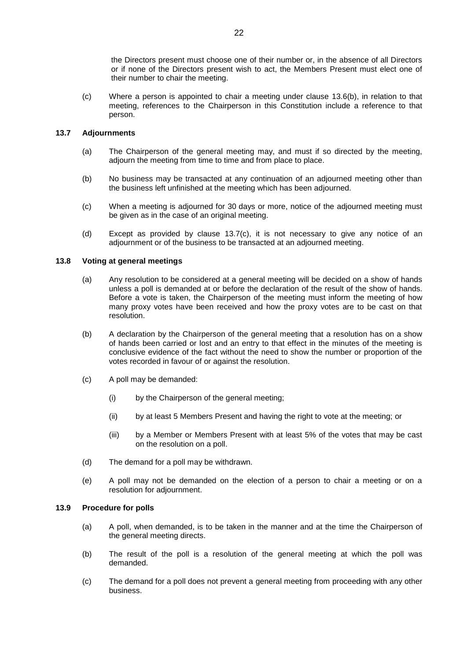the Directors present must choose one of their number or, in the absence of all Directors or if none of the Directors present wish to act, the Members Present must elect one of their number to chair the meeting.

(c) Where a person is appointed to chair a meeting under clause [13.6\(b\),](#page-22-0) in relation to that meeting, references to the Chairperson in this Constitution include a reference to that person.

# **13.7 Adjournments**

- (a) The Chairperson of the general meeting may, and must if so directed by the meeting, adjourn the meeting from time to time and from place to place.
- (b) No business may be transacted at any continuation of an adjourned meeting other than the business left unfinished at the meeting which has been adjourned.
- (c) When a meeting is adjourned for 30 days or more, notice of the adjourned meeting must be given as in the case of an original meeting.
- (d) Except as provided by clause 13.7(c), it is not necessary to give any notice of an adjournment or of the business to be transacted at an adjourned meeting.

# **13.8 Voting at general meetings**

- (a) Any resolution to be considered at a general meeting will be decided on a show of hands unless a poll is demanded at or before the declaration of the result of the show of hands. Before a vote is taken, the Chairperson of the meeting must inform the meeting of how many proxy votes have been received and how the proxy votes are to be cast on that resolution.
- (b) A declaration by the Chairperson of the general meeting that a resolution has on a show of hands been carried or lost and an entry to that effect in the minutes of the meeting is conclusive evidence of the fact without the need to show the number or proportion of the votes recorded in favour of or against the resolution.
- (c) A poll may be demanded:
	- (i) by the Chairperson of the general meeting;
	- (ii) by at least 5 Members Present and having the right to vote at the meeting; or
	- (iii) by a Member or Members Present with at least 5% of the votes that may be cast on the resolution on a poll.
- (d) The demand for a poll may be withdrawn.
- (e) A poll may not be demanded on the election of a person to chair a meeting or on a resolution for adjournment.

# **13.9 Procedure for polls**

- (a) A poll, when demanded, is to be taken in the manner and at the time the Chairperson of the general meeting directs.
- (b) The result of the poll is a resolution of the general meeting at which the poll was demanded.
- (c) The demand for a poll does not prevent a general meeting from proceeding with any other business.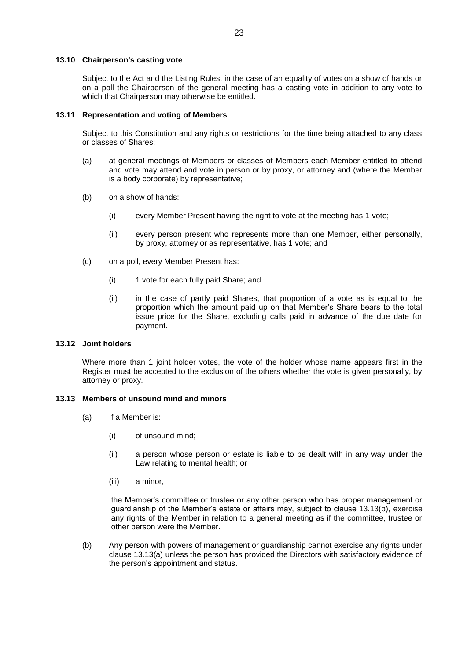# **13.10 Chairperson's casting vote**

Subject to the Act and the Listing Rules, in the case of an equality of votes on a show of hands or on a poll the Chairperson of the general meeting has a casting vote in addition to any vote to which that Chairperson may otherwise be entitled.

# **13.11 Representation and voting of Members**

Subject to this Constitution and any rights or restrictions for the time being attached to any class or classes of Shares:

- (a) at general meetings of Members or classes of Members each Member entitled to attend and vote may attend and vote in person or by proxy, or attorney and (where the Member is a body corporate) by representative;
- (b) on a show of hands:
	- (i) every Member Present having the right to vote at the meeting has 1 vote;
	- (ii) every person present who represents more than one Member, either personally, by proxy, attorney or as representative, has 1 vote; and
- (c) on a poll, every Member Present has:
	- (i) 1 vote for each fully paid Share; and
	- (ii) in the case of partly paid Shares, that proportion of a vote as is equal to the proportion which the amount paid up on that Member's Share bears to the total issue price for the Share, excluding calls paid in advance of the due date for payment.

# **13.12 Joint holders**

Where more than 1 joint holder votes, the vote of the holder whose name appears first in the Register must be accepted to the exclusion of the others whether the vote is given personally, by attorney or proxy.

# **13.13 Members of unsound mind and minors**

- (a) If a Member is:
	- (i) of unsound mind;
	- (ii) a person whose person or estate is liable to be dealt with in any way under the Law relating to mental health; or
	- (iii) a minor,

the Member's committee or trustee or any other person who has proper management or guardianship of the Member's estate or affairs may, subject to clause 13.13(b), exercise any rights of the Member in relation to a general meeting as if the committee, trustee or other person were the Member.

(b) Any person with powers of management or guardianship cannot exercise any rights under clause 13.13(a) unless the person has provided the Directors with satisfactory evidence of the person's appointment and status.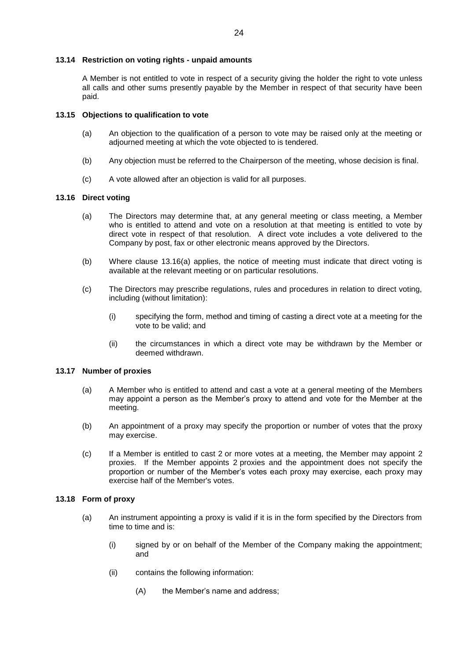# **13.14 Restriction on voting rights - unpaid amounts**

A Member is not entitled to vote in respect of a security giving the holder the right to vote unless all calls and other sums presently payable by the Member in respect of that security have been paid.

#### **13.15 Objections to qualification to vote**

- (a) An objection to the qualification of a person to vote may be raised only at the meeting or adjourned meeting at which the vote objected to is tendered.
- (b) Any objection must be referred to the Chairperson of the meeting, whose decision is final.
- (c) A vote allowed after an objection is valid for all purposes.

#### <span id="page-25-0"></span>**13.16 Direct voting**

- (a) The Directors may determine that, at any general meeting or class meeting, a Member who is entitled to attend and vote on a resolution at that meeting is entitled to vote by direct vote in respect of that resolution. A direct vote includes a vote delivered to the Company by post, fax or other electronic means approved by the Directors.
- (b) Where clause [13.16\(a\)](#page-25-0) applies, the notice of meeting must indicate that direct voting is available at the relevant meeting or on particular resolutions.
- (c) The Directors may prescribe regulations, rules and procedures in relation to direct voting, including (without limitation):
	- (i) specifying the form, method and timing of casting a direct vote at a meeting for the vote to be valid; and
	- (ii) the circumstances in which a direct vote may be withdrawn by the Member or deemed withdrawn.

#### **13.17 Number of proxies**

- (a) A Member who is entitled to attend and cast a vote at a general meeting of the Members may appoint a person as the Member's proxy to attend and vote for the Member at the meeting.
- (b) An appointment of a proxy may specify the proportion or number of votes that the proxy may exercise.
- (c) If a Member is entitled to cast 2 or more votes at a meeting, the Member may appoint 2 proxies. If the Member appoints 2 proxies and the appointment does not specify the proportion or number of the Member's votes each proxy may exercise, each proxy may exercise half of the Member's votes.

#### **13.18 Form of proxy**

- (a) An instrument appointing a proxy is valid if it is in the form specified by the Directors from time to time and is:
	- (i) signed by or on behalf of the Member of the Company making the appointment; and
	- (ii) contains the following information:
		- (A) the Member's name and address;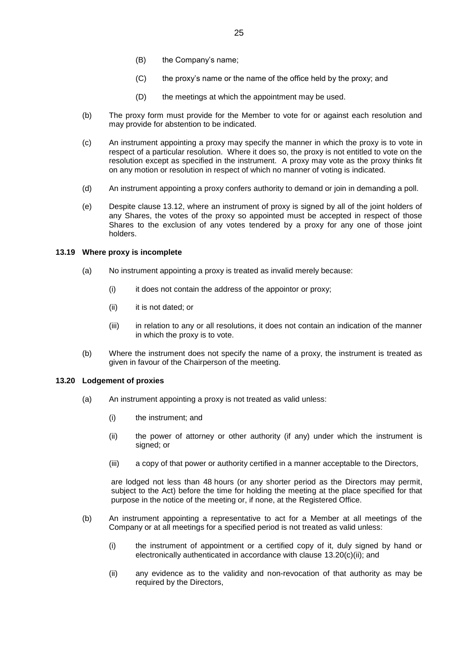- (B) the Company's name;
- (C) the proxy's name or the name of the office held by the proxy; and
- (D) the meetings at which the appointment may be used.
- (b) The proxy form must provide for the Member to vote for or against each resolution and may provide for abstention to be indicated.
- (c) An instrument appointing a proxy may specify the manner in which the proxy is to vote in respect of a particular resolution. Where it does so, the proxy is not entitled to vote on the resolution except as specified in the instrument. A proxy may vote as the proxy thinks fit on any motion or resolution in respect of which no manner of voting is indicated.
- (d) An instrument appointing a proxy confers authority to demand or join in demanding a poll.
- (e) Despite clause 13.12, where an instrument of proxy is signed by all of the joint holders of any Shares, the votes of the proxy so appointed must be accepted in respect of those Shares to the exclusion of any votes tendered by a proxy for any one of those joint holders.

# **13.19 Where proxy is incomplete**

- (a) No instrument appointing a proxy is treated as invalid merely because:
	- (i) it does not contain the address of the appointor or proxy;
	- (ii) it is not dated; or
	- (iii) in relation to any or all resolutions, it does not contain an indication of the manner in which the proxy is to vote.
- (b) Where the instrument does not specify the name of a proxy, the instrument is treated as given in favour of the Chairperson of the meeting.

#### **13.20 Lodgement of proxies**

- (a) An instrument appointing a proxy is not treated as valid unless:
	- (i) the instrument; and
	- (ii) the power of attorney or other authority (if any) under which the instrument is signed; or
	- (iii) a copy of that power or authority certified in a manner acceptable to the Directors,

are lodged not less than 48 hours (or any shorter period as the Directors may permit, subject to the Act) before the time for holding the meeting at the place specified for that purpose in the notice of the meeting or, if none, at the Registered Office.

- (b) An instrument appointing a representative to act for a Member at all meetings of the Company or at all meetings for a specified period is not treated as valid unless:
	- (i) the instrument of appointment or a certified copy of it, duly signed by hand or electronically authenticated in accordance with clause [13.20\(c\)\(ii\);](#page-27-0) and
	- (ii) any evidence as to the validity and non-revocation of that authority as may be required by the Directors.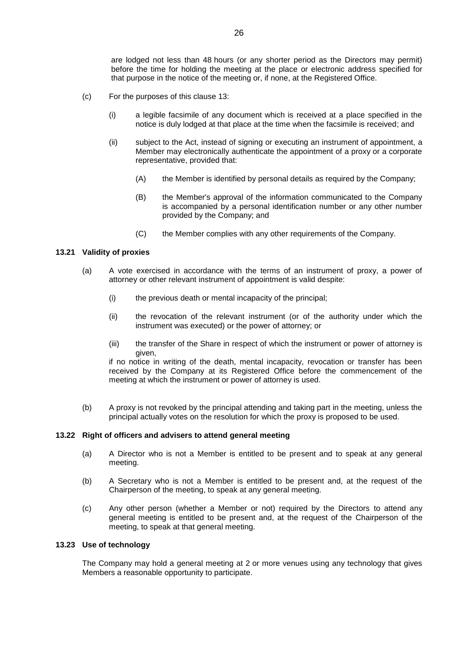are lodged not less than 48 hours (or any shorter period as the Directors may permit) before the time for holding the meeting at the place or electronic address specified for that purpose in the notice of the meeting or, if none, at the Registered Office.

- <span id="page-27-0"></span>(c) For the purposes of this clause 13:
	- (i) a legible facsimile of any document which is received at a place specified in the notice is duly lodged at that place at the time when the facsimile is received; and
	- (ii) subject to the Act, instead of signing or executing an instrument of appointment, a Member may electronically authenticate the appointment of a proxy or a corporate representative, provided that:
		- (A) the Member is identified by personal details as required by the Company;
		- (B) the Member's approval of the information communicated to the Company is accompanied by a personal identification number or any other number provided by the Company; and
		- (C) the Member complies with any other requirements of the Company.

# **13.21 Validity of proxies**

- (a) A vote exercised in accordance with the terms of an instrument of proxy, a power of attorney or other relevant instrument of appointment is valid despite:
	- (i) the previous death or mental incapacity of the principal;
	- (ii) the revocation of the relevant instrument (or of the authority under which the instrument was executed) or the power of attorney; or
	- (iii) the transfer of the Share in respect of which the instrument or power of attorney is given,

if no notice in writing of the death, mental incapacity, revocation or transfer has been received by the Company at its Registered Office before the commencement of the meeting at which the instrument or power of attorney is used.

(b) A proxy is not revoked by the principal attending and taking part in the meeting, unless the principal actually votes on the resolution for which the proxy is proposed to be used.

# **13.22 Right of officers and advisers to attend general meeting**

- (a) A Director who is not a Member is entitled to be present and to speak at any general meeting.
- (b) A Secretary who is not a Member is entitled to be present and, at the request of the Chairperson of the meeting, to speak at any general meeting.
- (c) Any other person (whether a Member or not) required by the Directors to attend any general meeting is entitled to be present and, at the request of the Chairperson of the meeting, to speak at that general meeting.

# **13.23 Use of technology**

The Company may hold a general meeting at 2 or more venues using any technology that gives Members a reasonable opportunity to participate.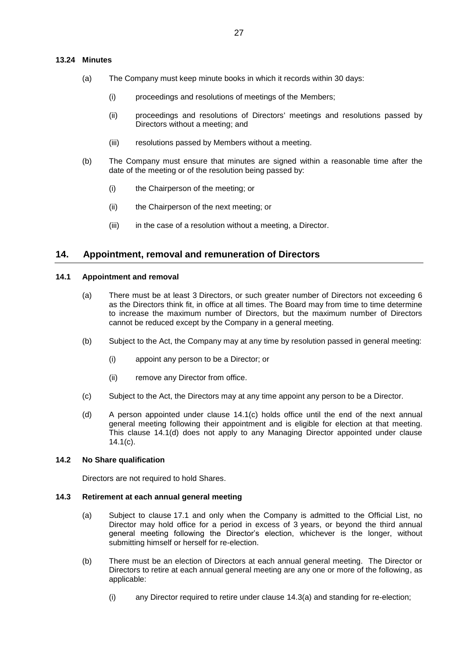## <span id="page-28-5"></span>**13.24 Minutes**

- (a) The Company must keep minute books in which it records within 30 days:
	- (i) proceedings and resolutions of meetings of the Members;
	- (ii) proceedings and resolutions of Directors' meetings and resolutions passed by Directors without a meeting; and
	- (iii) resolutions passed by Members without a meeting.
- (b) The Company must ensure that minutes are signed within a reasonable time after the date of the meeting or of the resolution being passed by:
	- (i) the Chairperson of the meeting; or
	- (ii) the Chairperson of the next meeting; or
	- (iii) in the case of a resolution without a meeting, a Director.

# **14. Appointment, removal and remuneration of Directors**

#### **14.1 Appointment and removal**

- (a) There must be at least 3 Directors, or such greater number of Directors not exceeding 6 as the Directors think fit, in office at all times. The Board may from time to time determine to increase the maximum number of Directors, but the maximum number of Directors cannot be reduced except by the Company in a general meeting.
- (b) Subject to the Act, the Company may at any time by resolution passed in general meeting:
	- (i) appoint any person to be a Director; or
	- (ii) remove any Director from office.
- <span id="page-28-1"></span><span id="page-28-0"></span>(c) Subject to the Act, the Directors may at any time appoint any person to be a Director.
- (d) A person appointed under clause [14.1\(c\)](#page-28-0) holds office until the end of the next annual general meeting following their appointment and is eligible for election at that meeting. This clause [14.1\(d\)](#page-28-1) does not apply to any Managing Director appointed under clause [14.1\(c\).](#page-28-0)

#### **14.2 No Share qualification**

Directors are not required to hold Shares.

#### <span id="page-28-6"></span><span id="page-28-2"></span>**14.3 Retirement at each annual general meeting**

- (a) Subject to clause [17.1](#page-35-1) and only when the Company is admitted to the Official List, no Director may hold office for a period in excess of 3 years, or beyond the third annual general meeting following the Director's election, whichever is the longer, without submitting himself or herself for re-election.
- <span id="page-28-4"></span><span id="page-28-3"></span>(b) There must be an election of Directors at each annual general meeting. The Director or Directors to retire at each annual general meeting are any one or more of the following, as applicable:
	- (i) any Director required to retire under clause [14.3\(a\)](#page-28-2) and standing for re-election;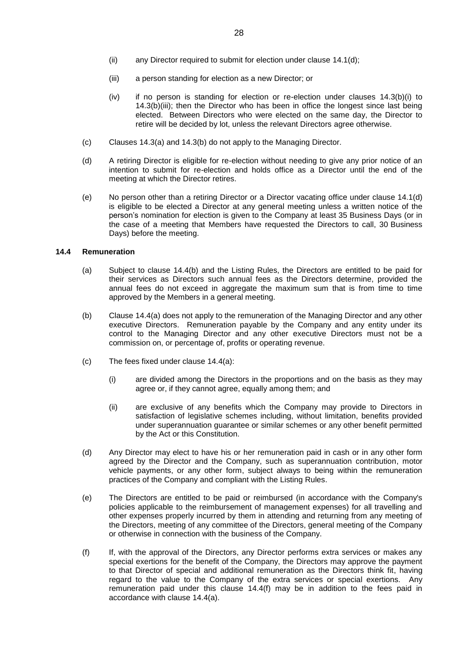- <span id="page-29-0"></span>(ii) any Director required to submit for election under clause [14.1\(d\);](#page-28-1)
- (iii) a person standing for election as a new Director; or
- (iv) if no person is standing for election or re-election under clauses [14.3\(b\)\(i\)](#page-28-3) to [14.3\(b\)\(iii\);](#page-29-0) then the Director who has been in office the longest since last being elected. Between Directors who were elected on the same day, the Director to retire will be decided by lot, unless the relevant Directors agree otherwise.
- (c) Clauses [14.3\(a\)](#page-28-2) and [14.3\(b\)](#page-28-4) do not apply to the Managing Director.
- (d) A retiring Director is eligible for re-election without needing to give any prior notice of an intention to submit for re-election and holds office as a Director until the end of the meeting at which the Director retires.
- (e) No person other than a retiring Director or a Director vacating office under clause [14.1\(d\)](#page-28-1) is eligible to be elected a Director at any general meeting unless a written notice of the person's nomination for election is given to the Company at least 35 Business Days (or in the case of a meeting that Members have requested the Directors to call, 30 Business Days) before the meeting.

#### <span id="page-29-2"></span>**14.4 Remuneration**

- (a) Subject to clause [14.4\(b\)](#page-29-1) and the Listing Rules, the Directors are entitled to be paid for their services as Directors such annual fees as the Directors determine, provided the annual fees do not exceed in aggregate the maximum sum that is from time to time approved by the Members in a general meeting.
- <span id="page-29-1"></span>(b) Clause [14.4\(a\)](#page-29-2) does not apply to the remuneration of the Managing Director and any other executive Directors. Remuneration payable by the Company and any entity under its control to the Managing Director and any other executive Directors must not be a commission on, or percentage of, profits or operating revenue.
- (c) The fees fixed under clause 14.4(a):
	- (i) are divided among the Directors in the proportions and on the basis as they may agree or, if they cannot agree, equally among them; and
	- (ii) are exclusive of any benefits which the Company may provide to Directors in satisfaction of legislative schemes including, without limitation, benefits provided under superannuation guarantee or similar schemes or any other benefit permitted by the Act or this Constitution.
- (d) Any Director may elect to have his or her remuneration paid in cash or in any other form agreed by the Director and the Company, such as superannuation contribution, motor vehicle payments, or any other form, subject always to being within the remuneration practices of the Company and compliant with the Listing Rules.
- <span id="page-29-4"></span>(e) The Directors are entitled to be paid or reimbursed (in accordance with the Company's policies applicable to the reimbursement of management expenses) for all travelling and other expenses properly incurred by them in attending and returning from any meeting of the Directors, meeting of any committee of the Directors, general meeting of the Company or otherwise in connection with the business of the Company.
- <span id="page-29-3"></span>(f) If, with the approval of the Directors, any Director performs extra services or makes any special exertions for the benefit of the Company, the Directors may approve the payment to that Director of special and additional remuneration as the Directors think fit, having regard to the value to the Company of the extra services or special exertions. Any remuneration paid under this clause [14.4\(f\)](#page-29-3) may be in addition to the fees paid in accordance with clause [14.4\(a\).](#page-29-2)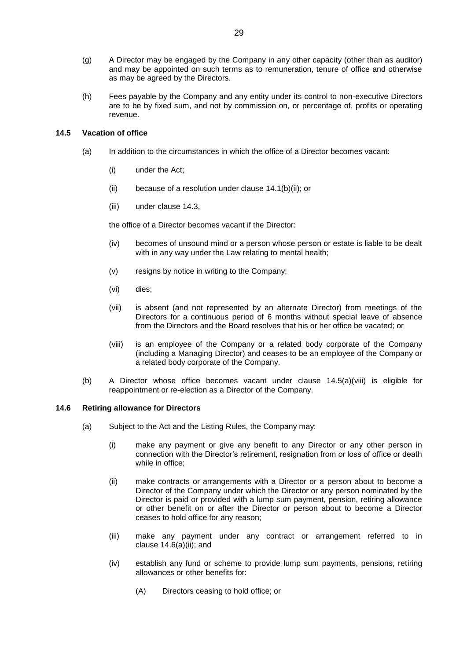- (g) A Director may be engaged by the Company in any other capacity (other than as auditor) and may be appointed on such terms as to remuneration, tenure of office and otherwise as may be agreed by the Directors.
- (h) Fees payable by the Company and any entity under its control to non-executive Directors are to be by fixed sum, and not by commission on, or percentage of, profits or operating revenue.

# **14.5 Vacation of office**

- (a) In addition to the circumstances in which the office of a Director becomes vacant:
	- (i) under the Act;
	- (ii) because of a resolution under clause 14.1(b)(ii); or
	- (iii) under clause 14.3,

the office of a Director becomes vacant if the Director:

- (iv) becomes of unsound mind or a person whose person or estate is liable to be dealt with in any way under the Law relating to mental health;
- (v) resigns by notice in writing to the Company;
- (vi) dies;
- (vii) is absent (and not represented by an alternate Director) from meetings of the Directors for a continuous period of 6 months without special leave of absence from the Directors and the Board resolves that his or her office be vacated; or
- (viii) is an employee of the Company or a related body corporate of the Company (including a Managing Director) and ceases to be an employee of the Company or a related body corporate of the Company.
- <span id="page-30-0"></span>(b) A Director whose office becomes vacant under clause [14.5\(a\)\(viii\)](#page-30-0) is eligible for reappointment or re-election as a Director of the Company.

# **14.6 Retiring allowance for Directors**

- <span id="page-30-1"></span>(a) Subject to the Act and the Listing Rules, the Company may:
	- (i) make any payment or give any benefit to any Director or any other person in connection with the Director's retirement, resignation from or loss of office or death while in office;
	- (ii) make contracts or arrangements with a Director or a person about to become a Director of the Company under which the Director or any person nominated by the Director is paid or provided with a lump sum payment, pension, retiring allowance or other benefit on or after the Director or person about to become a Director ceases to hold office for any reason;
	- (iii) make any payment under any contract or arrangement referred to in clause [14.6\(a\)\(ii\);](#page-30-1) and
	- (iv) establish any fund or scheme to provide lump sum payments, pensions, retiring allowances or other benefits for:
		- (A) Directors ceasing to hold office; or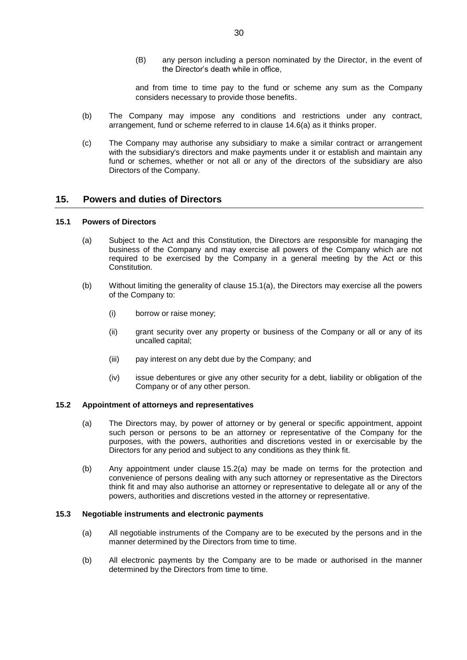(B) any person including a person nominated by the Director, in the event of the Director's death while in office,

and from time to time pay to the fund or scheme any sum as the Company considers necessary to provide those benefits.

- (b) The Company may impose any conditions and restrictions under any contract, arrangement, fund or scheme referred to in clause 14.6(a) as it thinks proper.
- (c) The Company may authorise any subsidiary to make a similar contract or arrangement with the subsidiary's directors and make payments under it or establish and maintain any fund or schemes, whether or not all or any of the directors of the subsidiary are also Directors of the Company.

# **15. Powers and duties of Directors**

# **15.1 Powers of Directors**

- (a) Subject to the Act and this Constitution, the Directors are responsible for managing the business of the Company and may exercise all powers of the Company which are not required to be exercised by the Company in a general meeting by the Act or this Constitution.
- (b) Without limiting the generality of clause 15.1(a), the Directors may exercise all the powers of the Company to:
	- (i) borrow or raise money;
	- (ii) grant security over any property or business of the Company or all or any of its uncalled capital;
	- (iii) pay interest on any debt due by the Company; and
	- (iv) issue debentures or give any other security for a debt, liability or obligation of the Company or of any other person.

# **15.2 Appointment of attorneys and representatives**

- (a) The Directors may, by power of attorney or by general or specific appointment, appoint such person or persons to be an attorney or representative of the Company for the purposes, with the powers, authorities and discretions vested in or exercisable by the Directors for any period and subject to any conditions as they think fit.
- (b) Any appointment under clause 15.2(a) may be made on terms for the protection and convenience of persons dealing with any such attorney or representative as the Directors think fit and may also authorise an attorney or representative to delegate all or any of the powers, authorities and discretions vested in the attorney or representative.

# **15.3 Negotiable instruments and electronic payments**

- (a) All negotiable instruments of the Company are to be executed by the persons and in the manner determined by the Directors from time to time.
- (b) All electronic payments by the Company are to be made or authorised in the manner determined by the Directors from time to time.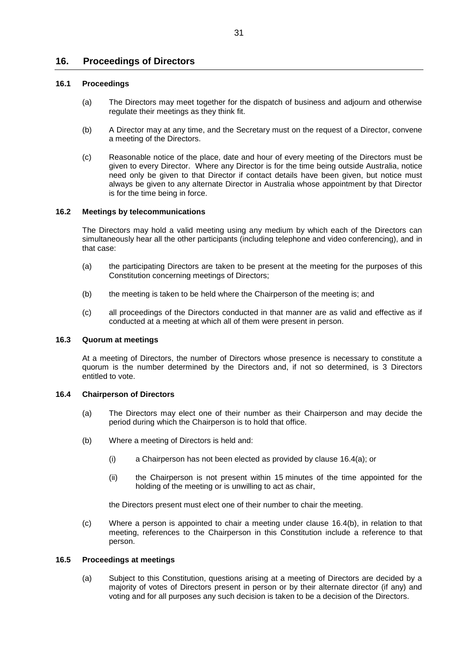# **16. Proceedings of Directors**

# **16.1 Proceedings**

- (a) The Directors may meet together for the dispatch of business and adjourn and otherwise regulate their meetings as they think fit.
- (b) A Director may at any time, and the Secretary must on the request of a Director, convene a meeting of the Directors.
- (c) Reasonable notice of the place, date and hour of every meeting of the Directors must be given to every Director. Where any Director is for the time being outside Australia, notice need only be given to that Director if contact details have been given, but notice must always be given to any alternate Director in Australia whose appointment by that Director is for the time being in force.

# **16.2 Meetings by telecommunications**

The Directors may hold a valid meeting using any medium by which each of the Directors can simultaneously hear all the other participants (including telephone and video conferencing), and in that case:

- (a) the participating Directors are taken to be present at the meeting for the purposes of this Constitution concerning meetings of Directors;
- (b) the meeting is taken to be held where the Chairperson of the meeting is; and
- (c) all proceedings of the Directors conducted in that manner are as valid and effective as if conducted at a meeting at which all of them were present in person.

# **16.3 Quorum at meetings**

At a meeting of Directors, the number of Directors whose presence is necessary to constitute a quorum is the number determined by the Directors and, if not so determined, is 3 Directors entitled to vote.

# <span id="page-32-0"></span>**16.4 Chairperson of Directors**

- (a) The Directors may elect one of their number as their Chairperson and may decide the period during which the Chairperson is to hold that office.
- <span id="page-32-1"></span>(b) Where a meeting of Directors is held and:
	- (i) a Chairperson has not been elected as provided by clause 16.4(a); or
	- (ii) the Chairperson is not present within 15 minutes of the time appointed for the holding of the meeting or is unwilling to act as chair,

the Directors present must elect one of their number to chair the meeting.

(c) Where a person is appointed to chair a meeting under clause [16.4\(b\),](#page-32-1) in relation to that meeting, references to the Chairperson in this Constitution include a reference to that person.

# **16.5 Proceedings at meetings**

(a) Subject to this Constitution, questions arising at a meeting of Directors are decided by a majority of votes of Directors present in person or by their alternate director (if any) and voting and for all purposes any such decision is taken to be a decision of the Directors.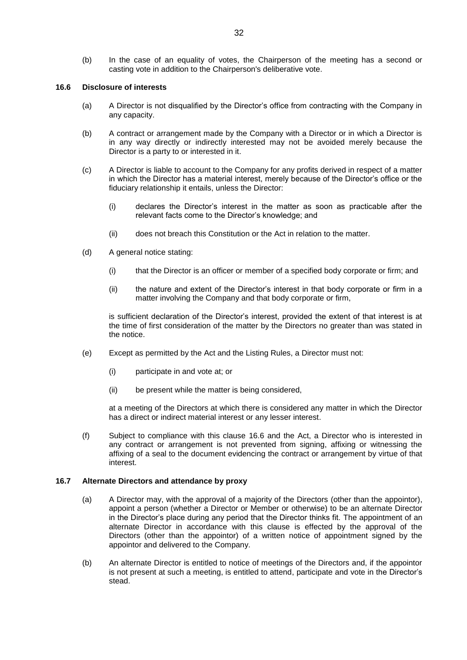(b) In the case of an equality of votes, the Chairperson of the meeting has a second or casting vote in addition to the Chairperson's deliberative vote.

# <span id="page-33-0"></span>**16.6 Disclosure of interests**

- (a) A Director is not disqualified by the Director's office from contracting with the Company in any capacity.
- (b) A contract or arrangement made by the Company with a Director or in which a Director is in any way directly or indirectly interested may not be avoided merely because the Director is a party to or interested in it.
- (c) A Director is liable to account to the Company for any profits derived in respect of a matter in which the Director has a material interest, merely because of the Director's office or the fiduciary relationship it entails, unless the Director:
	- (i) declares the Director's interest in the matter as soon as practicable after the relevant facts come to the Director's knowledge; and
	- (ii) does not breach this Constitution or the Act in relation to the matter.
- (d) A general notice stating:
	- (i) that the Director is an officer or member of a specified body corporate or firm; and
	- (ii) the nature and extent of the Director's interest in that body corporate or firm in a matter involving the Company and that body corporate or firm,

is sufficient declaration of the Director's interest, provided the extent of that interest is at the time of first consideration of the matter by the Directors no greater than was stated in the notice.

- (e) Except as permitted by the Act and the Listing Rules, a Director must not:
	- (i) participate in and vote at; or
	- (ii) be present while the matter is being considered,

at a meeting of the Directors at which there is considered any matter in which the Director has a direct or indirect material interest or any lesser interest.

(f) Subject to compliance with this clause [16.6](#page-33-0) and the Act, a Director who is interested in any contract or arrangement is not prevented from signing, affixing or witnessing the affixing of a seal to the document evidencing the contract or arrangement by virtue of that interest.

# **16.7 Alternate Directors and attendance by proxy**

- (a) A Director may, with the approval of a majority of the Directors (other than the appointor), appoint a person (whether a Director or Member or otherwise) to be an alternate Director in the Director's place during any period that the Director thinks fit. The appointment of an alternate Director in accordance with this clause is effected by the approval of the Directors (other than the appointor) of a written notice of appointment signed by the appointor and delivered to the Company.
- (b) An alternate Director is entitled to notice of meetings of the Directors and, if the appointor is not present at such a meeting, is entitled to attend, participate and vote in the Director's stead.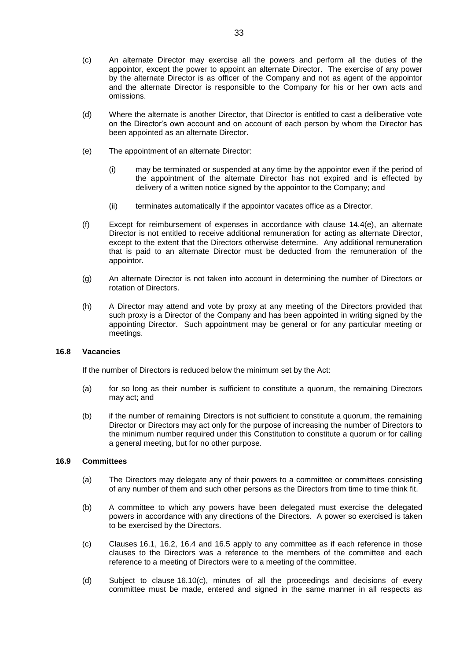- (c) An alternate Director may exercise all the powers and perform all the duties of the appointor, except the power to appoint an alternate Director. The exercise of any power by the alternate Director is as officer of the Company and not as agent of the appointor and the alternate Director is responsible to the Company for his or her own acts and omissions.
- (d) Where the alternate is another Director, that Director is entitled to cast a deliberative vote on the Director's own account and on account of each person by whom the Director has been appointed as an alternate Director.
- (e) The appointment of an alternate Director:
	- (i) may be terminated or suspended at any time by the appointor even if the period of the appointment of the alternate Director has not expired and is effected by delivery of a written notice signed by the appointor to the Company; and
	- (ii) terminates automatically if the appointor vacates office as a Director.
- (f) Except for reimbursement of expenses in accordance with clause [14.4\(e\),](#page-29-4) an alternate Director is not entitled to receive additional remuneration for acting as alternate Director, except to the extent that the Directors otherwise determine. Any additional remuneration that is paid to an alternate Director must be deducted from the remuneration of the appointor.
- (g) An alternate Director is not taken into account in determining the number of Directors or rotation of Directors.
- (h) A Director may attend and vote by proxy at any meeting of the Directors provided that such proxy is a Director of the Company and has been appointed in writing signed by the appointing Director. Such appointment may be general or for any particular meeting or meetings.

# **16.8 Vacancies**

If the number of Directors is reduced below the minimum set by the Act:

- (a) for so long as their number is sufficient to constitute a quorum, the remaining Directors may act; and
- (b) if the number of remaining Directors is not sufficient to constitute a quorum, the remaining Director or Directors may act only for the purpose of increasing the number of Directors to the minimum number required under this Constitution to constitute a quorum or for calling a general meeting, but for no other purpose.

# **16.9 Committees**

- (a) The Directors may delegate any of their powers to a committee or committees consisting of any number of them and such other persons as the Directors from time to time think fit.
- (b) A committee to which any powers have been delegated must exercise the delegated powers in accordance with any directions of the Directors. A power so exercised is taken to be exercised by the Directors.
- (c) Clauses 16.1, 16.2, 16.4 and 16.5 apply to any committee as if each reference in those clauses to the Directors was a reference to the members of the committee and each reference to a meeting of Directors were to a meeting of the committee.
- (d) Subject to clause 16.10(c), minutes of all the proceedings and decisions of every committee must be made, entered and signed in the same manner in all respects as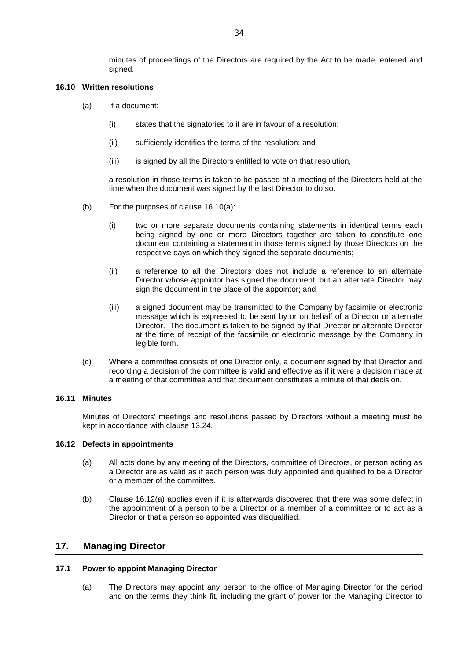minutes of proceedings of the Directors are required by the Act to be made, entered and signed.

### **16.10 Written resolutions**

- (a) If a document:
	- (i) states that the signatories to it are in favour of a resolution;
	- (ii) sufficiently identifies the terms of the resolution; and
	- (iii) is signed by all the Directors entitled to vote on that resolution,

a resolution in those terms is taken to be passed at a meeting of the Directors held at the time when the document was signed by the last Director to do so.

- (b) For the purposes of clause 16.10(a):
	- (i) two or more separate documents containing statements in identical terms each being signed by one or more Directors together are taken to constitute one document containing a statement in those terms signed by those Directors on the respective days on which they signed the separate documents;
	- (ii) a reference to all the Directors does not include a reference to an alternate Director whose appointor has signed the document, but an alternate Director may sign the document in the place of the appointor; and
	- (iii) a signed document may be transmitted to the Company by facsimile or electronic message which is expressed to be sent by or on behalf of a Director or alternate Director. The document is taken to be signed by that Director or alternate Director at the time of receipt of the facsimile or electronic message by the Company in legible form.
- (c) Where a committee consists of one Director only, a document signed by that Director and recording a decision of the committee is valid and effective as if it were a decision made at a meeting of that committee and that document constitutes a minute of that decision.

#### **16.11 Minutes**

Minutes of Directors' meetings and resolutions passed by Directors without a meeting must be kept in accordance with clause [13.24.](#page-28-5)

#### **16.12 Defects in appointments**

- (a) All acts done by any meeting of the Directors, committee of Directors, or person acting as a Director are as valid as if each person was duly appointed and qualified to be a Director or a member of the committee.
- (b) Clause 16.12(a) applies even if it is afterwards discovered that there was some defect in the appointment of a person to be a Director or a member of a committee or to act as a Director or that a person so appointed was disqualified.

# <span id="page-35-0"></span>**17. Managing Director**

#### <span id="page-35-2"></span><span id="page-35-1"></span>**17.1 Power to appoint Managing Director**

(a) The Directors may appoint any person to the office of Managing Director for the period and on the terms they think fit, including the grant of power for the Managing Director to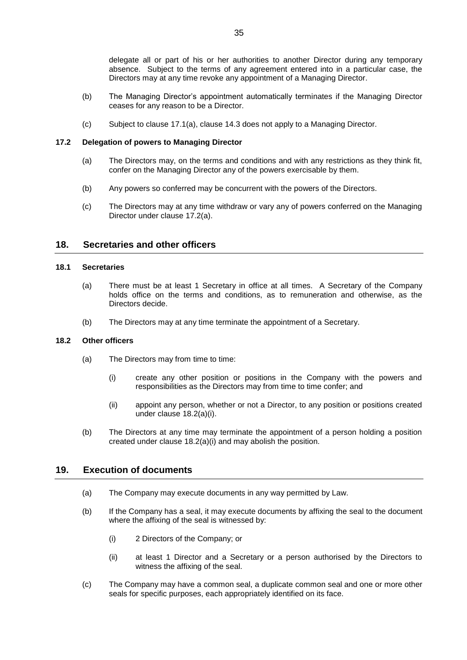delegate all or part of his or her authorities to another Director during any temporary absence. Subject to the terms of any agreement entered into in a particular case, the Directors may at any time revoke any appointment of a Managing Director.

- (b) The Managing Director's appointment automatically terminates if the Managing Director ceases for any reason to be a Director.
- (c) Subject to clause [17.1\(a\),](#page-35-2) clause [14.3](#page-28-6) does not apply to a Managing Director.

# <span id="page-36-0"></span>**17.2 Delegation of powers to Managing Director**

- (a) The Directors may, on the terms and conditions and with any restrictions as they think fit, confer on the Managing Director any of the powers exercisable by them.
- (b) Any powers so conferred may be concurrent with the powers of the Directors.
- (c) The Directors may at any time withdraw or vary any of powers conferred on the Managing Director under clause [17.2\(a\).](#page-36-0)

# **18. Secretaries and other officers**

# **18.1 Secretaries**

- (a) There must be at least 1 Secretary in office at all times. A Secretary of the Company holds office on the terms and conditions, as to remuneration and otherwise, as the Directors decide.
- (b) The Directors may at any time terminate the appointment of a Secretary.

# **18.2 Other officers**

- (a) The Directors may from time to time:
	- (i) create any other position or positions in the Company with the powers and responsibilities as the Directors may from time to time confer; and
	- (ii) appoint any person, whether or not a Director, to any position or positions created under clause 18.2(a)(i).
- (b) The Directors at any time may terminate the appointment of a person holding a position created under clause 18.2(a)(i) and may abolish the position.

# **19. Execution of documents**

- (a) The Company may execute documents in any way permitted by Law.
- (b) If the Company has a seal, it may execute documents by affixing the seal to the document where the affixing of the seal is witnessed by:
	- (i) 2 Directors of the Company; or
	- (ii) at least 1 Director and a Secretary or a person authorised by the Directors to witness the affixing of the seal.
- (c) The Company may have a common seal, a duplicate common seal and one or more other seals for specific purposes, each appropriately identified on its face.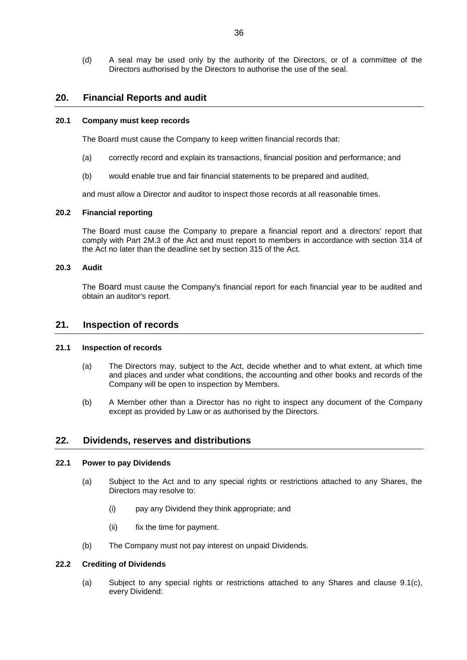(d) A seal may be used only by the authority of the Directors, or of a committee of the Directors authorised by the Directors to authorise the use of the seal.

# **20. Financial Reports and audit**

#### **20.1 Company must keep records**

The Board must cause the Company to keep written financial records that:

- (a) correctly record and explain its transactions, financial position and performance; and
- (b) would enable true and fair financial statements to be prepared and audited,

and must allow a Director and auditor to inspect those records at all reasonable times.

#### **20.2 Financial reporting**

The Board must cause the Company to prepare a financial report and a directors' report that comply with Part 2M.3 of the Act and must report to members in accordance with section 314 of the Act no later than the deadline set by section 315 of the Act.

# **20.3 Audit**

The Board must cause the Company's financial report for each financial year to be audited and obtain an auditor's report.

# **21. Inspection of records**

# **21.1 Inspection of records**

- (a) The Directors may, subject to the Act, decide whether and to what extent, at which time and places and under what conditions, the accounting and other books and records of the Company will be open to inspection by Members.
- (b) A Member other than a Director has no right to inspect any document of the Company except as provided by Law or as authorised by the Directors.

# **22. Dividends, reserves and distributions**

#### **22.1 Power to pay Dividends**

- (a) Subject to the Act and to any special rights or restrictions attached to any Shares, the Directors may resolve to:
	- (i) pay any Dividend they think appropriate; and
	- (ii) fix the time for payment.
- (b) The Company must not pay interest on unpaid Dividends.

# **22.2 Crediting of Dividends**

(a) Subject to any special rights or restrictions attached to any Shares and clause [9.1\(c\),](#page-13-2) every Dividend: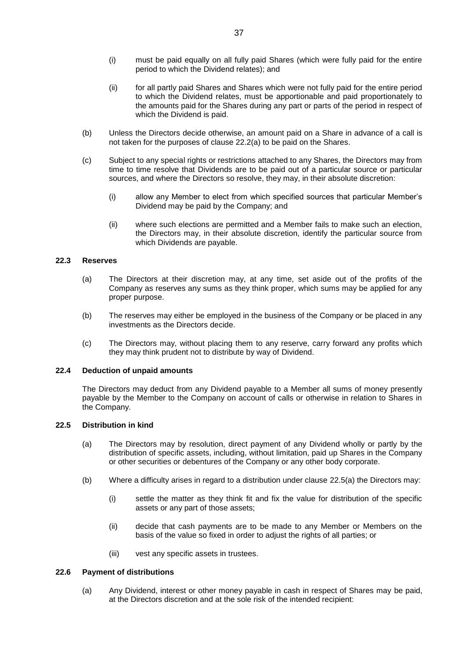- (i) must be paid equally on all fully paid Shares (which were fully paid for the entire period to which the Dividend relates); and
- (ii) for all partly paid Shares and Shares which were not fully paid for the entire period to which the Dividend relates, must be apportionable and paid proportionately to the amounts paid for the Shares during any part or parts of the period in respect of which the Dividend is paid.
- (b) Unless the Directors decide otherwise, an amount paid on a Share in advance of a call is not taken for the purposes of clause 22.2(a) to be paid on the Shares.
- (c) Subject to any special rights or restrictions attached to any Shares, the Directors may from time to time resolve that Dividends are to be paid out of a particular source or particular sources, and where the Directors so resolve, they may, in their absolute discretion:
	- (i) allow any Member to elect from which specified sources that particular Member's Dividend may be paid by the Company; and
	- (ii) where such elections are permitted and a Member fails to make such an election, the Directors may, in their absolute discretion, identify the particular source from which Dividends are payable.

# **22.3 Reserves**

- (a) The Directors at their discretion may, at any time, set aside out of the profits of the Company as reserves any sums as they think proper, which sums may be applied for any proper purpose.
- (b) The reserves may either be employed in the business of the Company or be placed in any investments as the Directors decide.
- (c) The Directors may, without placing them to any reserve, carry forward any profits which they may think prudent not to distribute by way of Dividend.

# **22.4 Deduction of unpaid amounts**

The Directors may deduct from any Dividend payable to a Member all sums of money presently payable by the Member to the Company on account of calls or otherwise in relation to Shares in the Company.

# **22.5 Distribution in kind**

- (a) The Directors may by resolution, direct payment of any Dividend wholly or partly by the distribution of specific assets, including, without limitation, paid up Shares in the Company or other securities or debentures of the Company or any other body corporate.
- (b) Where a difficulty arises in regard to a distribution under clause 22.5(a) the Directors may:
	- (i) settle the matter as they think fit and fix the value for distribution of the specific assets or any part of those assets;
	- (ii) decide that cash payments are to be made to any Member or Members on the basis of the value so fixed in order to adjust the rights of all parties; or
	- (iii) vest any specific assets in trustees.

# **22.6 Payment of distributions**

(a) Any Dividend, interest or other money payable in cash in respect of Shares may be paid, at the Directors discretion and at the sole risk of the intended recipient: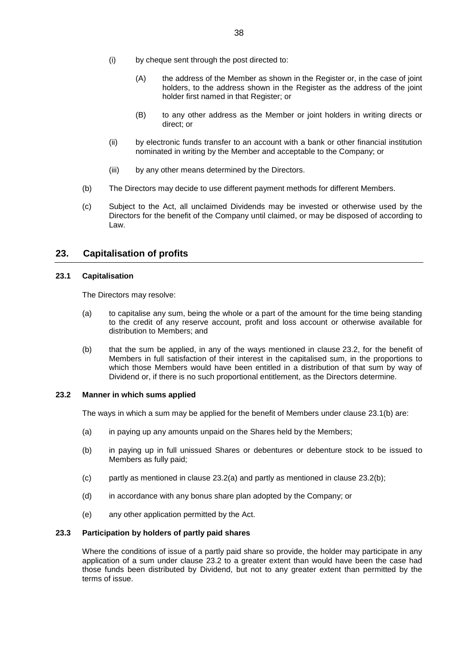- (i) by cheque sent through the post directed to:
	- (A) the address of the Member as shown in the Register or, in the case of joint holders, to the address shown in the Register as the address of the joint holder first named in that Register; or
	- (B) to any other address as the Member or joint holders in writing directs or direct; or
- (ii) by electronic funds transfer to an account with a bank or other financial institution nominated in writing by the Member and acceptable to the Company; or
- (iii) by any other means determined by the Directors.
- (b) The Directors may decide to use different payment methods for different Members.
- (c) Subject to the Act, all unclaimed Dividends may be invested or otherwise used by the Directors for the benefit of the Company until claimed, or may be disposed of according to Law.

# **23. Capitalisation of profits**

# <span id="page-39-1"></span>**23.1 Capitalisation**

The Directors may resolve:

- (a) to capitalise any sum, being the whole or a part of the amount for the time being standing to the credit of any reserve account, profit and loss account or otherwise available for distribution to Members; and
- <span id="page-39-0"></span>(b) that the sum be applied, in any of the ways mentioned in clause 23.2, for the benefit of Members in full satisfaction of their interest in the capitalised sum, in the proportions to which those Members would have been entitled in a distribution of that sum by way of Dividend or, if there is no such proportional entitlement, as the Directors determine.

#### **23.2 Manner in which sums applied**

The ways in which a sum may be applied for the benefit of Members under clause [23.1\(b\)](#page-39-0) are:

- (a) in paying up any amounts unpaid on the Shares held by the Members;
- (b) in paying up in full unissued Shares or debentures or debenture stock to be issued to Members as fully paid;
- (c) partly as mentioned in clause  $23.2(a)$  and partly as mentioned in clause  $23.2(b)$ ;
- (d) in accordance with any bonus share plan adopted by the Company; or
- (e) any other application permitted by the Act.

#### **23.3 Participation by holders of partly paid shares**

Where the conditions of issue of a partly paid share so provide, the holder may participate in any application of a sum under clause 23.2 to a greater extent than would have been the case had those funds been distributed by Dividend, but not to any greater extent than permitted by the terms of issue.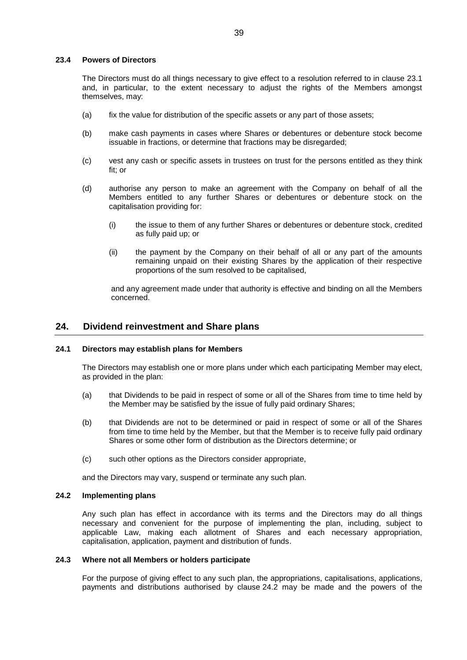#### **23.4 Powers of Directors**

The Directors must do all things necessary to give effect to a resolution referred to in clause [23.1](#page-39-1) and, in particular, to the extent necessary to adjust the rights of the Members amongst themselves, may:

- (a) fix the value for distribution of the specific assets or any part of those assets;
- (b) make cash payments in cases where Shares or debentures or debenture stock become issuable in fractions, or determine that fractions may be disregarded;
- (c) vest any cash or specific assets in trustees on trust for the persons entitled as they think fit; or
- (d) authorise any person to make an agreement with the Company on behalf of all the Members entitled to any further Shares or debentures or debenture stock on the capitalisation providing for:
	- (i) the issue to them of any further Shares or debentures or debenture stock, credited as fully paid up; or
	- (ii) the payment by the Company on their behalf of all or any part of the amounts remaining unpaid on their existing Shares by the application of their respective proportions of the sum resolved to be capitalised,

and any agreement made under that authority is effective and binding on all the Members concerned.

# <span id="page-40-1"></span>**24. Dividend reinvestment and Share plans**

# **24.1 Directors may establish plans for Members**

The Directors may establish one or more plans under which each participating Member may elect, as provided in the plan:

- (a) that Dividends to be paid in respect of some or all of the Shares from time to time held by the Member may be satisfied by the issue of fully paid ordinary Shares;
- (b) that Dividends are not to be determined or paid in respect of some or all of the Shares from time to time held by the Member, but that the Member is to receive fully paid ordinary Shares or some other form of distribution as the Directors determine; or
- (c) such other options as the Directors consider appropriate,

and the Directors may vary, suspend or terminate any such plan.

# <span id="page-40-0"></span>**24.2 Implementing plans**

Any such plan has effect in accordance with its terms and the Directors may do all things necessary and convenient for the purpose of implementing the plan, including, subject to applicable Law, making each allotment of Shares and each necessary appropriation, capitalisation, application, payment and distribution of funds.

#### **24.3 Where not all Members or holders participate**

For the purpose of giving effect to any such plan, the appropriations, capitalisations, applications, payments and distributions authorised by clause [24.2](#page-40-0) may be made and the powers of the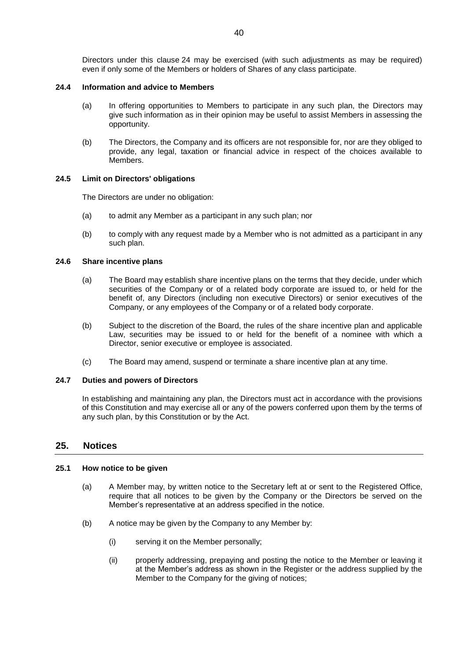Directors under this clause [24](#page-40-1) may be exercised (with such adjustments as may be required) even if only some of the Members or holders of Shares of any class participate.

# **24.4 Information and advice to Members**

- (a) In offering opportunities to Members to participate in any such plan, the Directors may give such information as in their opinion may be useful to assist Members in assessing the opportunity.
- (b) The Directors, the Company and its officers are not responsible for, nor are they obliged to provide, any legal, taxation or financial advice in respect of the choices available to Members.

# **24.5 Limit on Directors' obligations**

The Directors are under no obligation:

- (a) to admit any Member as a participant in any such plan; nor
- (b) to comply with any request made by a Member who is not admitted as a participant in any such plan.

# **24.6 Share incentive plans**

- (a) The Board may establish share incentive plans on the terms that they decide, under which securities of the Company or of a related body corporate are issued to, or held for the benefit of, any Directors (including non executive Directors) or senior executives of the Company, or any employees of the Company or of a related body corporate.
- (b) Subject to the discretion of the Board, the rules of the share incentive plan and applicable Law, securities may be issued to or held for the benefit of a nominee with which a Director, senior executive or employee is associated.
- (c) The Board may amend, suspend or terminate a share incentive plan at any time.

# **24.7 Duties and powers of Directors**

In establishing and maintaining any plan, the Directors must act in accordance with the provisions of this Constitution and may exercise all or any of the powers conferred upon them by the terms of any such plan, by this Constitution or by the Act.

# <span id="page-41-0"></span>**25. Notices**

# <span id="page-41-1"></span>**25.1 How notice to be given**

- (a) A Member may, by written notice to the Secretary left at or sent to the Registered Office, require that all notices to be given by the Company or the Directors be served on the Member's representative at an address specified in the notice.
- (b) A notice may be given by the Company to any Member by:
	- (i) serving it on the Member personally;
	- (ii) properly addressing, prepaying and posting the notice to the Member or leaving it at the Member's address as shown in the Register or the address supplied by the Member to the Company for the giving of notices;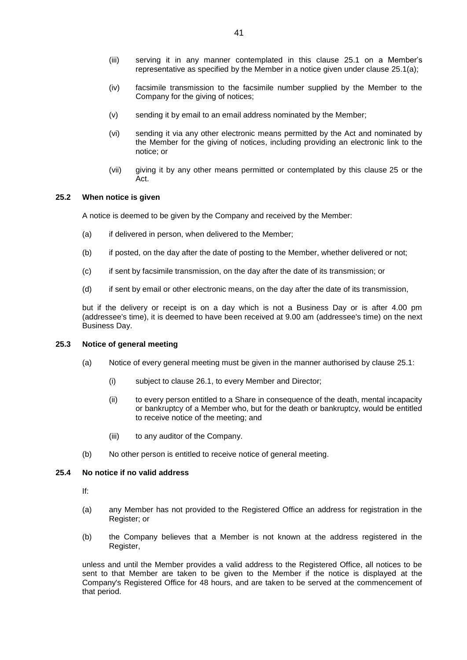- (iii) serving it in any manner contemplated in this clause 25.1 on a Member's representative as specified by the Member in a notice given under clause 25.1(a);
- (iv) facsimile transmission to the facsimile number supplied by the Member to the Company for the giving of notices;
- (v) sending it by email to an email address nominated by the Member;
- (vi) sending it via any other electronic means permitted by the Act and nominated by the Member for the giving of notices, including providing an electronic link to the notice; or
- (vii) giving it by any other means permitted or contemplated by this clause [25](#page-41-0) or the Act.

# **25.2 When notice is given**

A notice is deemed to be given by the Company and received by the Member:

- (a) if delivered in person, when delivered to the Member;
- (b) if posted, on the day after the date of posting to the Member, whether delivered or not;
- (c) if sent by facsimile transmission, on the day after the date of its transmission; or
- (d) if sent by email or other electronic means, on the day after the date of its transmission,

but if the delivery or receipt is on a day which is not a Business Day or is after 4.00 pm (addressee's time), it is deemed to have been received at 9.00 am (addressee's time) on the next Business Day.

#### **25.3 Notice of general meeting**

- (a) Notice of every general meeting must be given in the manner authorised by clause 25.1:
	- (i) subject to clause 26.1, to every Member and Director;
	- (ii) to every person entitled to a Share in consequence of the death, mental incapacity or bankruptcy of a Member who, but for the death or bankruptcy, would be entitled to receive notice of the meeting; and
	- (iii) to any auditor of the Company.
- (b) No other person is entitled to receive notice of general meeting.

### **25.4 No notice if no valid address**

If:

- (a) any Member has not provided to the Registered Office an address for registration in the Register; or
- (b) the Company believes that a Member is not known at the address registered in the Register,

unless and until the Member provides a valid address to the Registered Office, all notices to be sent to that Member are taken to be given to the Member if the notice is displayed at the Company's Registered Office for 48 hours, and are taken to be served at the commencement of that period.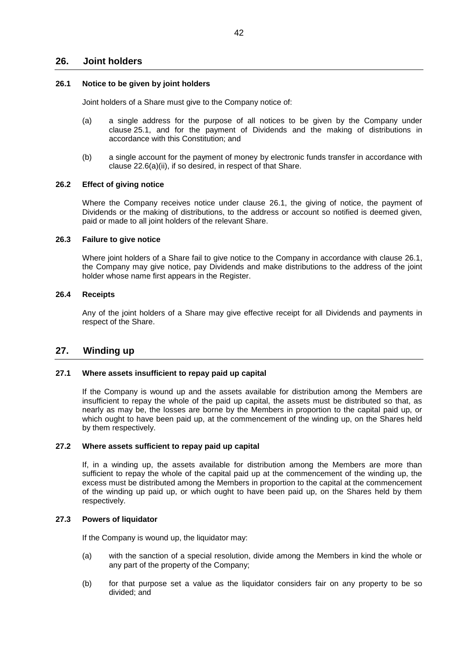# **26. Joint holders**

### <span id="page-43-0"></span>**26.1 Notice to be given by joint holders**

Joint holders of a Share must give to the Company notice of:

- (a) a single address for the purpose of all notices to be given by the Company under clause [25.1,](#page-41-1) and for the payment of Dividends and the making of distributions in accordance with this Constitution; and
- (b) a single account for the payment of money by electronic funds transfer in accordance with clause 22.6(a)(ii), if so desired, in respect of that Share.

#### **26.2 Effect of giving notice**

Where the Company receives notice under clause [26.1,](#page-43-0) the giving of notice, the payment of Dividends or the making of distributions, to the address or account so notified is deemed given, paid or made to all joint holders of the relevant Share.

### **26.3 Failure to give notice**

Where joint holders of a Share fail to give notice to the Company in accordance with clause [26.1,](#page-43-0) the Company may give notice, pay Dividends and make distributions to the address of the joint holder whose name first appears in the Register.

# **26.4 Receipts**

Any of the joint holders of a Share may give effective receipt for all Dividends and payments in respect of the Share.

# **27. Winding up**

# **27.1 Where assets insufficient to repay paid up capital**

If the Company is wound up and the assets available for distribution among the Members are insufficient to repay the whole of the paid up capital, the assets must be distributed so that, as nearly as may be, the losses are borne by the Members in proportion to the capital paid up, or which ought to have been paid up, at the commencement of the winding up, on the Shares held by them respectively.

#### **27.2 Where assets sufficient to repay paid up capital**

If, in a winding up, the assets available for distribution among the Members are more than sufficient to repay the whole of the capital paid up at the commencement of the winding up, the excess must be distributed among the Members in proportion to the capital at the commencement of the winding up paid up, or which ought to have been paid up, on the Shares held by them respectively.

#### **27.3 Powers of liquidator**

If the Company is wound up, the liquidator may:

- (a) with the sanction of a special resolution, divide among the Members in kind the whole or any part of the property of the Company;
- (b) for that purpose set a value as the liquidator considers fair on any property to be so divided; and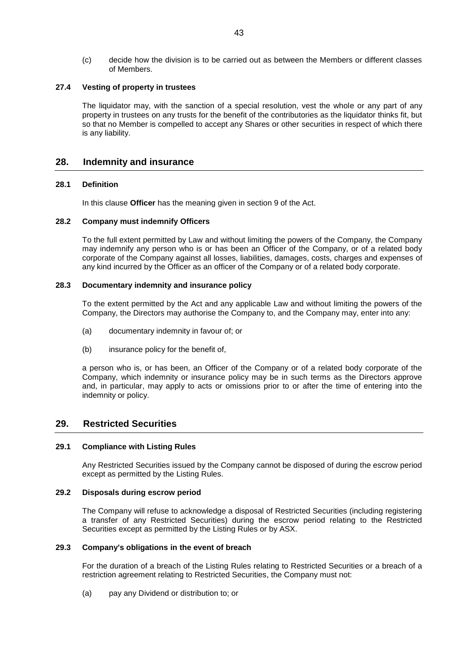(c) decide how the division is to be carried out as between the Members or different classes of Members.

# **27.4 Vesting of property in trustees**

The liquidator may, with the sanction of a special resolution, vest the whole or any part of any property in trustees on any trusts for the benefit of the contributories as the liquidator thinks fit, but so that no Member is compelled to accept any Shares or other securities in respect of which there is any liability.

# **28. Indemnity and insurance**

# **28.1 Definition**

In this clause **Officer** has the meaning given in section 9 of the Act.

# **28.2 Company must indemnify Officers**

To the full extent permitted by Law and without limiting the powers of the Company, the Company may indemnify any person who is or has been an Officer of the Company, or of a related body corporate of the Company against all losses, liabilities, damages, costs, charges and expenses of any kind incurred by the Officer as an officer of the Company or of a related body corporate.

# **28.3 Documentary indemnity and insurance policy**

To the extent permitted by the Act and any applicable Law and without limiting the powers of the Company, the Directors may authorise the Company to, and the Company may, enter into any:

- (a) documentary indemnity in favour of; or
- (b) insurance policy for the benefit of,

a person who is, or has been, an Officer of the Company or of a related body corporate of the Company, which indemnity or insurance policy may be in such terms as the Directors approve and, in particular, may apply to acts or omissions prior to or after the time of entering into the indemnity or policy.

# **29. Restricted Securities**

# **29.1 Compliance with Listing Rules**

Any Restricted Securities issued by the Company cannot be disposed of during the escrow period except as permitted by the Listing Rules.

### **29.2 Disposals during escrow period**

The Company will refuse to acknowledge a disposal of Restricted Securities (including registering a transfer of any Restricted Securities) during the escrow period relating to the Restricted Securities except as permitted by the Listing Rules or by ASX.

#### **29.3 Company's obligations in the event of breach**

For the duration of a breach of the Listing Rules relating to Restricted Securities or a breach of a restriction agreement relating to Restricted Securities, the Company must not:

(a) pay any Dividend or distribution to; or